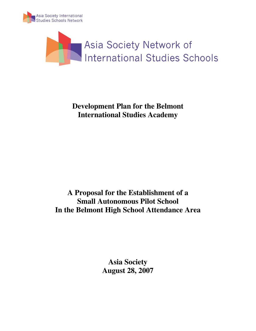



# **Development Plan for the Belmont International Studies Academy**

**A Proposal for the Establishment of a Small Autonomous Pilot School In the Belmont High School Attendance Area** 

> **Asia Society August 28, 2007**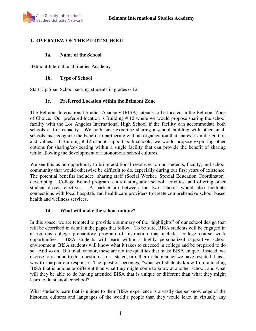# **1. OVERVIEW OF THE PILOT SCHOOL**

### **1a. Name of the School**

Belmont International Studies Academy

#### **1b. Type of School**

Start-Up Span School serving students in grades 6-12

### **1c. Preferred Location within the Belmont Zone**

The Belmont International Studies Academy (BISA) intends to be located in the Belmont Zone of Choice. Our preferred location is Building # 12 where we would propose sharing the school facility with the Los Angeles International High School if the facility can accommodate both schools at full capacity. We both have expertise sharing a school building with other small schools and recognize the benefit to partnering with an organization that shares a similar culture and values. If Building # 12 cannot support both schools, we would propose exploring other options for sharing/co-locating within a single facility that can provide the benefit of sharing while allowing the development of autonomous school cultures.

We see this as an opportunity to bring additional resources to our students, faculty, and school community that would otherwise be difficult to do, especially during our first years of existence. The potential benefits include: sharing staff (Social Worker, Special Education Coordinator), developing a College Bound program, coordinating after school activities, and offering other student driven electives. A partnership between the two schools would also facilitate connections with local hospitals and health care providers to create comprehensive school based health and wellness services.

### **1d. What will make the school unique?**

In this space, we are tempted to provide a summary of the "highlights" of our school design that will be described in detail in the pages that follow. To be sure, BISA students will be engaged in a rigorous college preparatory program of instruction that includes college course work opportunities. BISA students will learn within a highly personalized supportive school environment. BISA students will know what it takes to succeed in college and be prepared to do so. And so on. But in all candor, these are not the qualities that make BISA unique. Instead, we choose to respond to this question as it is stated, or rather in the manner we have restated it, as a way to sharpen our response. The question becomes, "what will students know from attending BISA that is unique or different than what they might come to know at another school, and what will they be able to do having attended BISA that is unique or different than what they might learn to do at another school?

What students learn that is unique to their BISA experience is a vastly deeper knowledge of the histories, cultures and languages of the world's people than they would learn in virtually any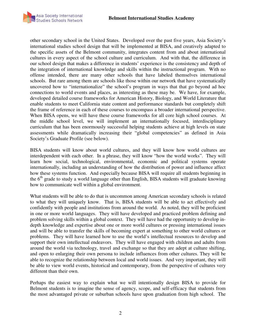

other secondary school in the United States. Developed over the past five years, Asia Society's international studies school design that will be implemented at BISA, and creatively adapted to the specific assets of the Belmont community, integrates content from and about international cultures in every aspect of the school culture and curriculum. And with that, the difference in our school design that makes a difference in students' experience is the consistency and depth of the integration of international knowledge and skills within the instructional program. With no offense intended, there are many other schools that have labeled themselves international schools. But rare among them are schools like those within our network that have systematically uncovered how to "internationalize" the school's program in ways that that go beyond ad hoc connections to world events and places, as interesting as these may be. We have, for example, developed detailed course frameworks for American History, Biology, and World Literature that enable students to meet California state content and performance standards but completely shift the frame of reference in each of these courses to encompass a broader international perspective. When BISA opens, we will have these course frameworks for all core high school courses. At the middle school level, we will implement an internationally focused, interdisciplinary curriculum that has been enormously successful helping students achieve at high levels on state assessments while dramatically increasing their "global competencies" as defined in Asia Society's Graduate Profile (see below).

BISA students will know about world cultures, and they will know how world cultures are interdependent with each other. In a phrase, they will know "how the world works". They will learn how social, technological, environmental, economic and political systems operate internationally, including an understanding of how the distribution of power and influence affect how these systems function. And especially because BISA will require all students beginning in the  $6<sup>th</sup>$  grade to study a world language other than English, BISA students will graduate knowing how to communicate well within a global environment.

What students will be able to do that is uncommon among American secondary schools is related to what they will uniquely know. That is, BISA students will be able to act effectively and confidently with people and institutions from around the world. As noted, they will be proficient in one or more world languages. They will have developed and practiced problem defining and problem solving skills within a global context. They will have had the opportunity to develop indepth knowledge and expertise about one or more world cultures or pressing international issues and will be able to transfer the skills of becoming expert at something to other world cultures or problems. They will have learned how to use the world's intellectual resources to develop and support their own intellectual endeavors. They will have engaged with children and adults from around the world via technology, travel and exchange so that they are adept at culture shifting, and open to enlarging their own persona to include influences from other cultures. They will be able to recognize the relationship between local and world issues. And very important, they will be able to view world events, historical and contemporary, from the perspective of cultures very different than their own.

Perhaps the easiest way to explain what we will intentionally design BISA to provide for Belmont students is to imagine the sense of agency, scope, and self-efficacy that students from the most advantaged private or suburban schools have upon graduation from high school. The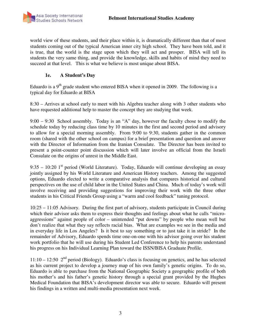world view of these students, and their place within it, is dramatically different than that of most students coming out of the typical American inner city high school. They have been told, and it is true, that the world is the stage upon which they will act and prosper. BISA will tell its students the very same thing, and provide the knowledge, skills and habits of mind they need to succeed at that level. This is what we believe is most unique about BISA.

# **1e. A Student's Day**

Eduardo is a  $9<sup>th</sup>$  grade student who entered BISA when it opened in 2009. The following is a typical day for Eduardo at BISA

8:30 – Arrives at school early to meet with his Algebra teacher along with 3 other students who have requested additional help to master the concept they are studying that week.

9:00 – 9:30 School assembly. Today is an "A" day, however the faculty chose to modify the schedule today by reducing class time by 10 minutes in the first and second period and advisory to allow for a special morning assembly. From 9:00 to 9:30, students gather in the common room (shared with the other school on campus) for a brief presentation and question and answer with the Director of Information from the Iranian Consulate. The Director has been invited to present a point-counter point discussion which will later involve an official from the Israeli Consulate on the origins of unrest in the Middle East.

9:35 – 10:20 1<sup>st</sup> period (World Literature). Today, Eduardo will continue developing an essay jointly assigned by his World Literature and American History teachers. Among the suggested options, Eduardo elected to write a comparative analysis that compares historical and cultural perspectives on the use of child labor in the United States and China. Much of today's work will involve receiving and providing suggestions for improving their work with the three other students in his Critical Friends Group using a "warm and cool feedback" tuning protocol.

10:25 – 11:05 Advisory. During the first part of advisory, students participate in Council during which their advisor asks them to express their thoughts and feelings about what he calls "microaggressions" against people of color – unintended "put downs" by people who mean well but don't realize that what they say reflects racial bias. What are examples we see in the media and in everyday life in Los Angeles? Is it best to say something or to just take it in stride? In the remainder of Advisory, Eduardo spends time one-on-one with his advisor going over his student work portfolio that he will use during his Student Led Conference to help his parents understand his progress on his Individual Learning Plan toward the ISSN/BISA Graduate Profile.

 $11:10 - 12:50$   $2<sup>nd</sup>$  period (Biology). Eduardo's class is focusing on genetics, and he has selected as his current project to develop a journey map of his own family's genetic origins. To do so, Eduardo is able to purchase from the National Geographic Society a geographic profile of both his mother's and his father's genetic history through a special grant provided by the Hughes Medical Foundation that BISA's development director was able to secure. Eduardo will present his findings in a written and multi-media presentation next week.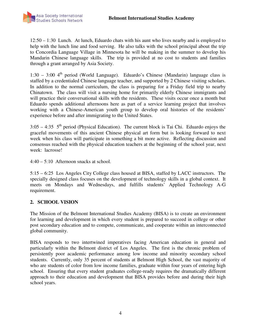

12:50 – 1:30 Lunch. At lunch, Eduardo chats with his aunt who lives nearby and is employed to help with the lunch line and food serving. He also talks with the school principal about the trip to Concordia Language Village in Minnesota he will be making in the summer to develop his Mandarin Chinese language skills. The trip is provided at no cost to students and families through a grant arranged by Asia Society.

1:30 – 3:00  $4<sup>th</sup>$  period (World Language). Eduardo's Chinese (Mandarin) language class is staffed by a credentialed Chinese language teacher, and supported by 2 Chinese visiting scholars. In addition to the normal curriculum, the class is preparing for a Friday field trip to nearby Chinatown. The class will visit a nursing home for primarily elderly Chinese immigrants and will practice their conversational skills with the residents. These visits occur once a month but Eduardo spends additional afternoons here as part of a service learning project that involves working with a Chinese-American youth group to develop oral histories of the residents' experience before and after immigrating to the United States.

 $3:05 - 4:35$  5<sup>th</sup> period (Physical Education). The current block is Tai Chi. Eduardo enjoys the graceful movements of this ancient Chinese physical art form but is looking forward to next week when his class will participate in something a bit more active. Reflecting discussion and consensus reached with the physical education teachers at the beginning of the school year, next week: lacrosse!

4:40 – 5:10 Afternoon snacks at school.

5:15 – 6:25 Los Angeles City College class housed at BISA, staffed by LACC instructors. The specially designed class focuses on the development of technology skills in a global context. It meets on Mondays and Wednesdays, and fulfills students' Applied Technology A-G requirement.

### **2. SCHOOL VISION**

The Mission of the Belmont International Studies Academy (BISA) is to create an environment for learning and development in which every student is prepared to succeed in college or other post secondary education and to compete, communicate, and cooperate within an interconnected global community.

BISA responds to two intertwined imperatives facing American education in general and particularly within the Belmont district of Los Angeles. The first is the chronic problem of persistently poor academic performance among low income and minority secondary school students. Currently, only 35 percent of students at Belmont High School, the vast majority of who are students of color from low income families, graduate within four years of entering high school. Ensuring that every student graduates college-ready requires the dramatically different approach to their education and development that BISA provides before and during their high school years.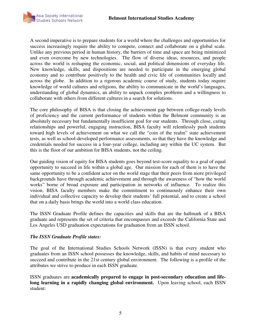

A second imperative is to prepare students for a world where the challenges and opportunities for success increasingly require the ability to compete, connect and collaborate on a global scale. Unlike any previous period in human history, the barriers of time and space are being minimized and even overcome by new technologies. The flow of diverse ideas, resources, and people across the world is reshaping the economic, social, and political dimensions of everyday life. New knowledge, skills, and dispositions are needed to participate in the emerging global economy and to contribute positively to the health and civic life of communities locally and across the globe. In addition to a rigorous academic course of study, students today require knowledge of world cultures and religions, the ability to communicate in the world's languages, understanding of global dynamics, an ability to unpack complex problems and a willingness to collaborate with others from different cultures in a search for solutions.

The core philosophy of BISA is that closing the achievement gap between college-ready levels of proficiency and the current performance of students within the Belmont community is an absolutely necessary but fundamentally insufficient goal for our students. Through close, caring relationships and powerful, engaging instruction, BISA faculty will relentlessly push students toward high levels of achievement on what we call the "coin of the realm" state achievement tests, as well as school-developed performance assessments, so that they have the knowledge and credentials needed for success in a four-year college, including any within the UC system. But this is the floor of our ambition for BISA students, not the ceiling.

Our guiding vision of equity for BISA students goes beyond test-score equality to a goal of equal opportunity to succeed in life within a global age. Our mission for each of them is to have the same opportunity to be a confident actor on the world stage that their peers from more privileged backgrounds have through academic achievement and through the awareness of "how the world works" borne of broad exposure and participation in networks of influence. To realize this vision, BISA faculty members make the commitment to continuously enhance their own individual and collective capacity to develop their students' full potential, and to create a school that on a daily basis brings the world into a world class education.

The ISSN Graduate Profile defines the capacities and skills that are the hallmark of a BISA graduate and represents the set of criteria that encompasses and exceeds the California State and Los Angeles USD graduation expectations for graduation from an ISSN school.

#### *The ISSN Graduate Profile states:*

The goal of the International Studies Schools Network (ISSN) is that every student who graduates from an ISSN school possesses the knowledge, skills, and habits of mind necessary to succeed and contribute in the 21st century global environment. The following is a profile of the attributes we strive to produce in each ISSN graduate.

ISSN graduates are **academically prepared to engage in post-secondary education and lifelong learning in a rapidly changing global environment.** Upon leaving school, each ISSN student: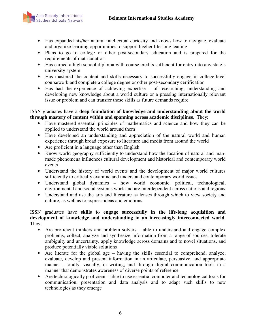

- Has expanded his/her natural intellectual curiosity and knows how to navigate, evaluate and organize learning opportunities to support his/her life-long leaning
- Plans to go to college or other post-secondary education and is prepared for the requirements of matriculation
- Has earned a high school diploma with course credits sufficient for entry into any state's university system
- Has mastered the content and skills necessary to successfully engage in college-level coursework and complete a college degree or other post-secondary certification
- Has had the experience of achieving expertise of researching, understanding and developing new knowledge about a world culture or a pressing internationally relevant issue or problem and can transfer these skills as future demands require

ISSN graduates have a **deep foundation of knowledge and understanding about the world through mastery of content within and spanning across academic disciplines**. They:

- Have mastered essential principles of mathematics and science and how they can be applied to understand the world around them
- Have developed an understanding and appreciation of the natural world and human experience through broad exposure to literature and media from around the world
- Are proficient in a language other than English
- Know world geography sufficiently to understand how the location of natural and manmade phenomena influences cultural development and historical and contemporary world events
- Understand the history of world events and the development of major world cultures sufficiently to critically examine and understand contemporary world issues
- Understand global dynamics how world economic, political, technological, environmental and social systems work and are interdependent across nations and regions
- Understand and use the arts and literature as lenses through which to view society and culture, as well as to express ideas and emotions

#### ISSN graduates have **skills to engage successfully in the life-long acquisition and development of knowledge and understanding in an increasingly interconnected world**. They:

- Are proficient thinkers and problem solvers able to understand and engage complex problems, collect, analyze and synthesize information from a range of sources, tolerate ambiguity and uncertainty, apply knowledge across domains and to novel situations, and produce potentially viable solutions
- Are literate for the global age having the skills essential to comprehend, analyze, evaluate, develop and present information in an articulate, persuasive, and appropriate manner – orally, visually, in writing, and through digital communication tools in a manner that demonstrates awareness of diverse points of reference
- Are technologically proficient able to use essential computer and technological tools for communication, presentation and data analysis and to adapt such skills to new technologies as they emerge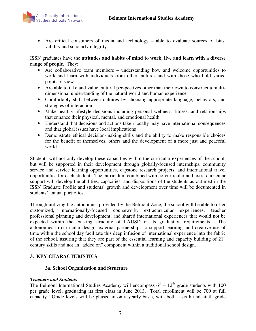

• Are critical consumers of media and technology – able to evaluate sources of bias, validity and scholarly integrity

#### ISSN graduates have the **attitudes and habits of mind to work, live and learn with a diverse range of people**. They:

- Are collaborative team members understanding how and welcome opportunities to work and learn with individuals from other cultures and with those who hold varied points of view
- Are able to take and value cultural perspectives other than their own to construct a multidimensional understanding of the natural world and human experience
- Comfortably shift between cultures by choosing appropriate language, behaviors, and strategies of interaction
- Make healthy lifestyle decisions including personal wellness, fitness, and relationships that enhance their physical, mental, and emotional health
- Understand that decisions and actions taken locally may have international consequences and that global issues have local implications
- Demonstrate ethical decision-making skills and the ability to make responsible choices for the benefit of themselves, others and the development of a more just and peaceful world

Students will not only develop these capacities within the curricular experiences of the school, but will be supported in their development through globally-focused internships, community service and service learning opportunities, capstone research projects, and international travel opportunities for each student. The curriculum combined with co-curricular and extra-curricular support will develop the abilities, capacities, and dispositions of the students as outlined in the ISSN Graduate Profile and students' growth and development over time will be documented in students' annual portfolios.

Through utilizing the autonomies provided by the Belmont Zone, the school will be able to offer customized, internationally-focused coursework, extracurricular experiences, teacher professional planning and development, and shared international experiences that would not be expected within the existing structure of LAUSD or its graduation requirements. The autonomies in curricular design, external partnerships to support learning, and creative use of time within the school day facilitate this deep infusion of international experience into the fabric of the school, assuring that they are part of the essential learning and capacity building of  $21<sup>st</sup>$ century skills and not an "added on" component within a traditional school design.

### **3. KEY CHARACTERISTICS**

### **3a. School Organization and Structure**

### *Teachers and Students*

The Belmont International Studies Academy will encompass  $6<sup>th</sup> - 12<sup>th</sup>$  grade students with 100 per grade level, graduating its first class in June 2013. Total enrollment will be 700 at full capacity. Grade levels will be phased in on a yearly basis, with both a sixth and ninth grade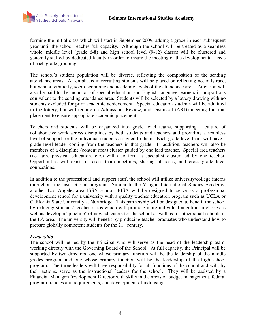

forming the initial class which will start in September 2009, adding a grade in each subsequent year until the school reaches full capacity. Although the school will be treated as a seamless whole, middle level (grade 6-8) and high school level (9-12) classes will be clustered and generally staffed by dedicated faculty in order to insure the meeting of the developmental needs of each grade grouping.

The school's student population will be diverse, reflecting the composition of the sending attendance areas. An emphasis in recruiting students will be placed on reflecting not only race, but gender, ethnicity, socio-economic and academic levels of the attendance area. Attention will also be paid to the inclusion of special education and English language learners in proportions equivalent to the sending attendance area. Students will be selected by a lottery drawing with no students excluded for prior academic achievement. Special education students will be admitted in the lottery, but will require an Admission, Review, and Dismissal (ARD) meeting for final placement to ensure appropriate academic placement.

Teachers and students will be organized into grade level teams, supporting a culture of collaborative work across disciplines by both students and teachers and providing a seamless level of support for the individual students assigned to them. Each grade level team will have a grade level leader coming from the teachers in that grade. In addition, teachers will also be members of a discipline (content area) cluster guided by one lead teacher. Special area teachers (i.e. arts, physical education, etc.) will also form a specialist cluster led by one teacher. Opportunities will exist for cross team meetings, sharing of ideas, and cross grade level connections.

In addition to the professional and support staff, the school will utilize university/college interns throughout the instructional program. Similar to the Vaughn International Studies Academy, another Los Angeles-area ISSN school, BISA will be designed to serve as a professional development school for a university with a quality teacher education program such as UCLA or California State University at Northridge. This partnership will be designed to benefit the school by reducing student / teacher ratios which will promote more individual attention in classes as well as develop a "pipeline" of new educators for the school as well as for other small schools in the LA area. The university will benefit by producing teacher graduates who understand how to prepare globally competent students for the  $21<sup>st</sup>$  century.

### *Leadership*

The school will be led by the Principal who will serve as the head of the leadership team, working directly with the Governing Board of the School. At full capacity, the Principal will be supported by two directors, one whose primary function will be the leadership of the middle grades program and one whose primary function will be the leadership of the high school program. The three leaders will have responsibility for all functions of the school and will, by their actions, serve as the instructional leaders for the school. They will be assisted by a Financial Manager/Development Director with skills in the areas of budget management, federal program policies and requirements, and development / fundraising.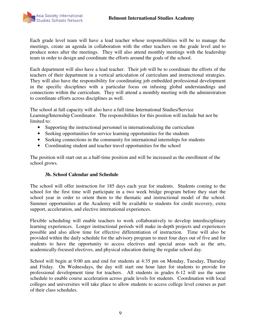

Each grade level team will have a lead teacher whose responsibilities will be to manage the meetings, create an agenda in collaboration with the other teachers on the grade level and to produce notes after the meetings. They will also attend monthly meetings with the leadership team in order to design and coordinate the efforts around the goals of the school.

Each department will also have a lead teacher. Their job will be to coordinate the efforts of the teachers of their department in a vertical articulation of curriculum and instructional strategies. They will also have the responsibility for coordinating job embedded professional development in the specific disciplines with a particular focus on infusing global understandings and connections within the curriculum. They will attend a monthly meeting with the administration to coordinate efforts across disciplines as well.

The school at full capacity will also have a full time International Studies/Service Learning/Internship Coordinator. The responsibilities for this position will include but not be limited to:

- Supporting the instructional personnel in internationalizing the curriculum
- Seeking opportunities for service learning opportunities for the students
- Seeking connections in the community for international internships for students
- Coordinating student and teacher travel opportunities for the school

The position will start out as a half-time position and will be increased as the enrollment of the school grows.

### **3b. School Calendar and Schedule**

The school will offer instruction for 185 days each year for students. Students coming to the school for the first time will participate in a two week bridge program before they start the school year in order to orient them to the thematic and instructional model of the school. Summer opportunities at the Academy will be available to students for credit recovery, extra support, acceleration, and elective international experiences.

Flexible scheduling will enable teachers to work collaboratively to develop interdisciplinary learning experiences. Longer instructional periods will make in-depth projects and experiences possible and also allow time for effective differentiation of instruction. Time will also be provided within the daily schedule for the advisory program to meet four days out of five and for students to have the opportunity to access electives and special areas such as the arts, academically-focused electives, and physical education during the regular school day.

School will begin at 9:00 am and end for students at 4:35 pm on Monday, Tuesday, Thursday and Friday. On Wednesdays, the day will start one hour later for students to provide for professional development time for teachers. All students in grades 6-12 will use the same schedule to enable course acceleration across grade levels for students. Coordination with local colleges and universities will take place to allow students to access college level courses as part of their class schedules.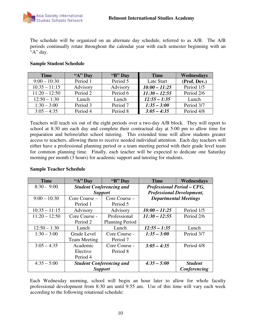

The schedule will be organized on an alternate day schedule, referred to as A/B. The A/B periods continually rotate throughout the calendar year with each semester beginning with an "A" day.

| <b>Time</b>     | " $A$ " Day | "B" Day  | <b>Time</b>     | Wednesdays   |
|-----------------|-------------|----------|-----------------|--------------|
| $9:00 - 10:30$  | Period 1    | Period 5 | Late Start      | (Prof. Dev.) |
| $10:35 - 11:15$ | Advisory    | Advisory | $10:00 - 11:25$ | Period 1/5   |
| $11:20 - 12:50$ | Period 2    | Period 6 | $11:30 - 12:55$ | Period 2/6   |
| $12:50 - 1:30$  | Lunch       | Lunch    | $12:55 - 1:35$  | Lunch        |
| $1:30 - 3:00$   | Period 3    | Period 7 | $1:35 - 3:00$   | Period 3/7   |
| $3:05 - 4:35$   | Period 4    | Period 8 | $3:05 - 4:35$   | Period 4/8   |

#### **Sample Student Schedule**

Teachers will teach six out of the eight periods over a two-day A/B block. They will report to school at 8:30 am each day and complete their contractual day at 5:00 pm to allow time for preparation and before/after school tutoring. This extended time will allow students greater access to teachers, allowing them to receive needed individual attention. Each day teachers will either have a professional planning period or a team meeting period with their grade level team for common planning time. Finally, each teacher will be expected to dedicate one Saturday morning per month (3 hours) for academic support and tutoring for students.

#### **Sample Teacher Schedule**

| <b>Time</b>     | "A" Day             | "B" Day                         | <b>Time</b>                       | Wednesdays     |
|-----------------|---------------------|---------------------------------|-----------------------------------|----------------|
| $8:30 - 9:00$   |                     | <b>Student Conferencing and</b> | <b>Professional Period - CFG,</b> |                |
|                 |                     | <b>Support</b>                  | <b>Professional Development,</b>  |                |
| $9:00 - 10:30$  | Core Course –       | Core Course –                   | <b>Departmental Meetings</b>      |                |
|                 | Period 1            | Period 5                        |                                   |                |
| $10:35 - 11:15$ | Advisory            | Advisory                        | $10:00 - 11:25$                   | Period 1/5     |
| $11:20 - 12:50$ | Core Course -       | Professional                    | $11:30 - 12:55$                   | Period 2/6     |
|                 | Period 2            | <b>Planning Period</b>          |                                   |                |
| $12:50 - 1:30$  | Lunch               | Lunch                           | $12:55 - 1:35$                    | Lunch          |
| $1:30 - 3:00$   | Grade Level         | Core Course -                   | $1:35 - 3:00$                     | Period 3/7     |
|                 | <b>Team Meeting</b> | Period 7                        |                                   |                |
| $3:05 - 4:35$   | Academic            | Core Course -                   | $3:05 - 4:35$                     | Period 4/8     |
|                 | Elective            | Period 8                        |                                   |                |
|                 | Period 4            |                                 |                                   |                |
| $4:35 - 5:00$   |                     | <b>Student Conferencing and</b> | $4:35 - 5:00$                     | <b>Student</b> |
|                 |                     | <b>Support</b>                  |                                   | Conferencing   |

Each Wednesday morning, school will begin an hour later to allow for whole faculty professional development from 8:30 am until 9:55 am. Use of this time will vary each week according to the following rotational schedule: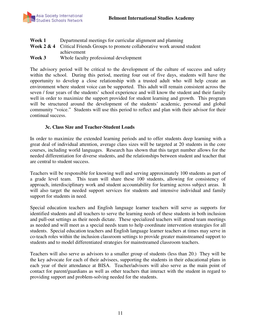| Week 1 | Departmental meetings for curricular alignment and planning                                |
|--------|--------------------------------------------------------------------------------------------|
|        | <b>Week 2 &amp; 4</b> Critical Friends Groups to promote collaborative work around student |
|        | achievement                                                                                |
| Week 3 | Whole faculty professional development                                                     |

The advisory period will be critical to the development of the culture of success and safety within the school. During this period, meeting four out of five days, students will have the opportunity to develop a close relationship with a trusted adult who will help create an environment where student voice can be supported. This adult will remain consistent across the seven / four years of the students' school experience and will know the student and their family well in order to maximize the support provided for student learning and growth. This program will be structured around the development of the students' academic, personal and global community "voice." Students will use this period to reflect and plan with their advisor for their continual success.

#### **3c. Class Size and Teacher-Student Loads**

In order to maximize the extended learning periods and to offer students deep learning with a great deal of individual attention, average class sizes will be targeted at 20 students in the core courses, including world languages. Research has shown that this target number allows for the needed differentiation for diverse students, and the relationships between student and teacher that are central to student success.

Teachers will be responsible for knowing well and serving approximately 100 students as part of a grade level team. This team will share these 100 students, allowing for consistency of approach, interdisciplinary work and student accountability for learning across subject areas. It will also target the needed support services for students and intensive individual and family support for students in need.

Special education teachers and English language learner teachers will serve as supports for identified students and all teachers to serve the learning needs of these students in both inclusion and pull-out settings as their needs dictate. These specialized teachers will attend team meetings as needed and will meet as a special needs team to help coordinate intervention strategies for all students. Special education teachers and English language learner teachers at times may serve in co-teach roles within the inclusion classroom settings to provide greater mainstreamed support to students and to model differentiated strategies for mainstreamed classroom teachers.

Teachers will also serve as advisors to a smaller group of students (less than 20.) They will be the key advocate for each of their advisees, supporting the students in their educational plans in each year of their attendance at BISA. Teacher/advisors will also serve as the main point of contact for parent/guardians as well as other teachers that interact with the student in regard to providing support and problem-solving needed for the students.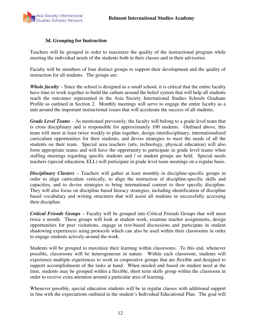

#### **3d. Grouping for Instruction**

Teachers will be grouped in order to maximize the quality of the instructional program while meeting the individual needs of the students both in their classes and in their advisories.

Faculty will be members of four distinct groups to support their development and the quality of instruction for all students. The groups are:

*Whole faculty* – Since the school is designed as a small school, it is critical that the entire faculty have time to work together to build the culture around the belief system that will help all students reach the outcomes represented in the Asia Society International Studies Schools Graduate Profile as outlined in Section 2. Monthly meetings will serve to engage the entire faculty as a unit around the important instructional issues that will accelerate the success of all students.

*Grade Level Teams* – As mentioned previously, the faculty will belong to a grade level team that is cross disciplinary and is responsible for approximately 100 students. Outlined above, this team will meet at least twice weekly to plan together, design interdisciplinary, internationalized curriculum opportunities for their students, and devise strategies to meet the needs of all the students on their team. Special area teachers (arts, technology, physical education) will also form appropriate teams and will have the opportunity to participate in grade level teams when staffing meetings regarding specific students and / or student groups are held. Special needs teachers (special education, ELL) will participate in grade level team meetings on a regular basis.

*Disciplinary Clusters* – Teachers will gather at least monthly in discipline-specific groups in order to align curriculum vertically, to align the instruction of discipline-specific skills and capacities, and to devise strategies to bring international content to their specific discipline. They will also focus on discipline based literacy strategies, including identification of discipline based vocabulary and writing structures that will assist all students in successfully accessing their discipline.

*Critical Friends Groups* – Faculty will be grouped into Critical Friends Groups that will meet twice a month. These groups will look at student work, examine teacher assignments, design opportunities for peer visitations, engage in text-based discussions and participate in student shadowing experiences using protocols which can also be used within their classrooms in order to engage students actively around the work.

Students will be grouped to maximize their learning within classrooms. To this end, whenever possible, classrooms will be heterogeneous in nature. Within each classroom, students will experience multiple experiences to work in cooperative groups that are flexible and designed to support accomplishment of the tasks at hand. When needed and based on student need at the time, students may be grouped within a flexible, short term skills group within the classroom in order to receive extra attention around a particular area of learning.

Whenever possible, special education students will be in regular classes with additional support in line with the expectations outlined in the student's Individual Educational Plan. The goal will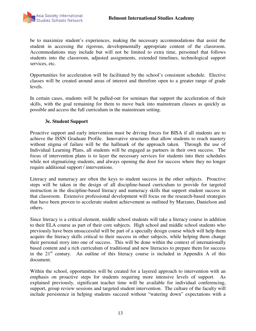

be to maximize student's experiences, making the necessary accommodations that assist the student in accessing the rigorous, developmentally appropriate content of the classroom. Accommodations may include but will not be limited to extra time, personnel that follows students into the classroom, adjusted assignments, extended timelines, technological support services, etc.

Opportunities for acceleration will be facilitated by the school's consistent schedule. Elective classes will be created around areas of interest and therefore open to a greater range of grade levels.

In certain cases, students will be pulled-out for seminars that support the acceleration of their skills, with the goal remaining for them to move back into mainstream classes as quickly as possible and access the full curriculum in the mainstream setting.

#### **3e. Student Support**

Proactive support and early intervention must be driving forces for BISA if all students are to achieve the ISSN Graduate Profile. Innovative structures that allow students to reach mastery without stigma of failure will be the hallmark of the approach taken. Through the use of Individual Learning Plans, all students will be engaged as partners in their own success. The focus of intervention plans is to layer the necessary services for students into their schedules while not stigmatizing students, and always opening the door for success where they no longer require additional support / interventions.

Literacy and numeracy are often the keys to student success in the other subjects. Proactive steps will be taken in the design of all discipline-based curriculum to provide for targeted instruction in the discipline-based literacy and numeracy skills that support student success in that classroom. Extensive professional development will focus on the research-based strategies that have been proven to accelerate student achievement as outlined by Marzano, Danielson and others.

Since literacy is a critical element, middle school students will take a literacy course in addition to their ELA course as part of their core subjects. High school and middle school students who previously have been unsuccessful will be part of a specially design course which will help them acquire the literacy skills critical to their success in other subjects, while helping them change their personal story into one of success. This will be done within the context of internationally based content and a rich curriculum of traditional and new literacies to prepare them for success in the  $21<sup>st</sup>$  century. An outline of this literacy course is included in Appendix A of this document.

Within the school, opportunities will be created for a layered approach to intervention with an emphasis on proactive steps for students requiring more intensive levels of support. As explained previously, significant teacher time will be available for individual conferencing, support, group review sessions and targeted student intervention. The culture of the faculty will include persistence in helping students succeed without "watering down" expectations with a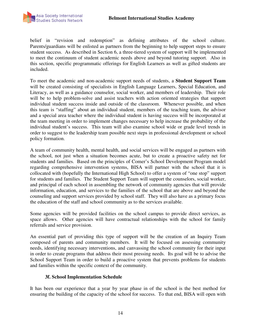belief in "revision and redemption" as defining attributes of the school culture. Parents/guardians will be enlisted as partners from the beginning to help support steps to ensure student success. As described in Section 6, a three-tiered system of support will be implemented to meet the continuum of student academic needs above and beyond tutoring support. Also in this section, specific programmatic offerings for English Learners as well as gifted students are included.

To meet the academic and non-academic support needs of students, a **Student Support Team** will be created consisting of specialists in English Language Learners, Special Education, and Literacy, as well as a guidance counselor, social worker, and members of leadership. Their role will be to help problem-solve and assist teachers with action oriented strategies that support individual student success inside and outside of the classroom. Whenever possible, and when this team is "staffing" about an individual student, members of the teaching team, the advisor and a special area teacher where the individual student is having success will be incorporated at the team meeting in order to implement changes necessary to help increase the probability of the individual student's success. This team will also examine school wide or grade level trends in order to suggest to the leadership team possible next steps in professional development or school policy formation.

A team of community health, mental health, and social services will be engaged as partners with the school, not just when a situation becomes acute, but to create a proactive safety net for students and families. Based on the principles of Comer's School Development Program model regarding comprehensive intervention systems, BISA will partner with the school that it is collocated with (hopefully the International High School) to offer a system of "one stop" support for students and families. The Student Support Team will support the counselors, social worker, and principal of each school in assembling the network of community agencies that will provide information, education, and services to the families of the school that are above and beyond the counseling and support services provided by school staff. They will also have as a primary focus the education of the staff and school community as to the services available.

Some agencies will be provided facilities on the school campus to provide direct services, as space allows. Other agencies will have contractual relationships with the school for family referrals and service provision.

An essential part of providing this type of support will be the creation of an Inquiry Team composed of parents and community members. It will be focused on assessing community needs, identifying necessary interventions, and canvassing the school community for their input in order to create programs that address their most pressing needs. Its goal will be to advise the School Support Team in order to build a proactive system that prevents problems for students and families within the specific context of the community.

#### **3f. School Implementation Schedule**

It has been our experience that a year by year phase in of the school is the best method for ensuring the building of the capacity of the school for success. To that end, BISA will open with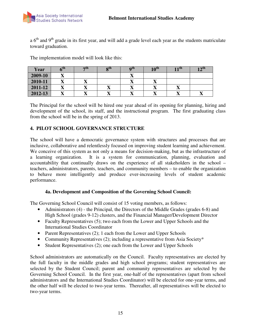a  $6<sup>th</sup>$  and  $9<sup>th</sup>$  grade in its first year, and will add a grade level each year as the students matriculate toward graduation.

| Year    | $-100$ | $\overline{r}$ u         | oш | $\mathbf{u}$ | $10^{\text{III}}$ | l ull | 1 ј ш |
|---------|--------|--------------------------|----|--------------|-------------------|-------|-------|
| 2009-10 |        |                          |    |              |                   |       |       |
| 2010-11 |        | $\overline{\phantom{a}}$ |    | ∡≖           | - - -             |       |       |
| 2011-12 |        |                          | ◢  |              |                   | ◢     |       |
| 2012-13 |        |                          | ∡∍ |              |                   |       | - -   |

The implementation model will look like this:

The Principal for the school will be hired one year ahead of its opening for planning, hiring and development of the school, its staff, and the instructional program. The first graduating class from the school will be in the spring of 2013.

# **4. PILOT SCHOOL GOVERNANCE STRUCTURE**

The school will have a democratic governance system with structures and processes that are inclusive, collaborative and relentlessly focused on improving student learning and achievement. We conceive of this system as not only a means for decision-making, but as the infrastructure of a learning organization. It is a system for communication, planning, evaluation and accountability that continually draws on the experience of all stakeholders in the school – teachers, administrators, parents, teachers, and community members – to enable the organization to behave more intelligently and produce ever-increasing levels of student academic performance.

### **4a. Development and Composition of the Governing School Council:**

The Governing School Council will consist of 15 voting members, as follows:

- Administrators (4) the Principal, the Directors of the Middle Grades (grades 6-8) and High School (grades 9-12) clusters, and the Financial Manager/Development Director
- Faculty Representatives (5); two each from the Lower and Upper Schools and the International Studies Coordinator
- Parent Representatives (2); 1 each from the Lower and Upper Schools
- Community Representatives (2); including a representative from Asia Society\*
- Student Representatives (2); one each from the Lower and Upper Schools

School administrators are automatically on the Council. Faculty representatives are elected by the full faculty in the middle grades and high school programs; student representatives are selected by the Student Council; parent and community representatives are selected by the Governing School Council. In the first year, one-half of the representatives (apart from school administrators and the International Studies Coordinator) will be elected for one-year terms, and the other half will be elected to two-year terms. Thereafter, all representatives will be elected to two-year terms.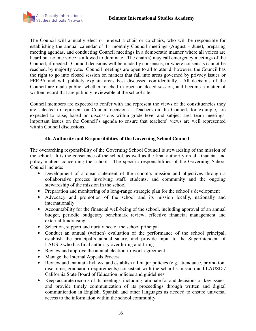

The Council will annually elect or re-elect a chair or co-chairs, who will be responsible for establishing the annual calendar of 11 monthly Council meetings (August – June), preparing meeting agendas, and conducting Council meetings in a democratic manner where all voices are heard but no one voice is allowed to dominate. The chair(s) may call emergency meetings of the Council, if needed. Council decisions will be made by consensus, or where consensus cannot be reached, by majority vote. Council meetings are open to all to attend; however, the Council has the right to go into closed session on matters that fall into areas governed by privacy issues or FERPA and will publicly explain areas best discussed confidentially. All decisions of the Council are made public, whether reached in open or closed session, and become a matter of written record that are publicly reviewable at the school site.

Council members are expected to confer with and represent the views of the constituencies they are selected to represent on Council decisions. Teachers on the Council, for example, are expected to raise, based on discussions within grade level and subject area team meetings, important issues on the Council's agenda to ensure that teachers' views are well represented within Council discussions.

#### **4b. Authority and Responsibilities of the Governing School Council**

The overarching responsibility of the Governing School Council is stewardship of the mission of the school. It is the conscience of the school, as well as the final authority on all financial and policy matters concerning the school. The specific responsibilities of the Governing School Council include:

- Development of a clear statement of the school's mission and objectives through a collaborative process involving staff, students, and community and the ongoing stewardship of the mission in the school
- Preparation and monitoring of a long-range strategic plan for the school's development
- Advocacy and promotion of the school and its mission locally, nationally and internationally
- Accountability for the financial well-being of the school, including approval of an annual budget, periodic budgetary benchmark review, effective financial management and external fundraising
- Selection, support and nurturance of the school principal
- Conduct an annual (written) evaluation of the performance of the school principal, establish the principal's annual salary, and provide input to the Superintendent of LAUSD who has final authority over hiring and firing
- Review and approve the annual election-to-work agreement
- Manage the Internal Appeals Process
- Review and maintain bylaws, and establish all major policies (e.g. attendance, promotion, discipline, graduation requirements) consistent with the school's mission and LAUSD / California State Board of Education policies and guidelines
- Keep accurate records of its meetings, including rationale for and decisions on key issues, and provide timely communication of its proceedings through written and digital communication in English, Spanish and other languages as needed to ensure universal access to the information within the school community.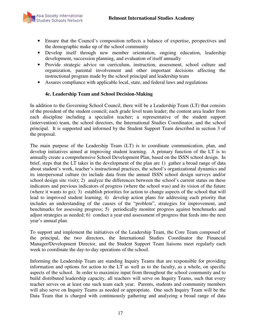

- Ensure that the Council's composition reflects a balance of expertise, perspectives and the demographic make up of the school community
- Develop itself through new member orientation, ongoing education, leadership development, succession planning, and evaluation of itself annually
- Provide strategic advice on curriculum, instruction, assessment, school culture and organization, parental involvement and other important decisions affecting the instructional program made by the school principal and leadership team
- Assures compliance with applicable local, state, and federal laws and regulations

### **4c. Leadership Team and School Decision-Making**

In addition to the Governing School Council, there will be a Leadership Team (LT) that consists of the president of the student council; each grade level team leader; the content area leader from each discipline including a specialist teacher; a representative of the student support (intervention) team, the school directors, the International Studies Coordinator, and the school principal. It is supported and informed by the Student Support Team described in section 3 of the proposal.

The main purpose of the Leadership Team (LT) is to coordinate communication, plan, and develop initiatives aimed at improving student learning. A primary function of the LT is to annually create a comprehensive School Development Plan, based on the ISSN school design. In brief, steps that the LT takes in the development of the plan are 1) gather a broad range of data about student's work, teacher's instructional practices, the school's organizational dynamics and its interpersonal culture (to include data from the annual ISSN school design surveys and/or school design site visit); 2) analyze the differences between the school's current status on these indicators and previous indicators of progress (where the school was) and its vision of the future (where it wants to go); 3) establish priorities for action to change aspects of the school that will lead to improved student learning; 4) develop action plans for addressing each priority that includes an understanding of the causes of the "problem", strategies for improvement, and benchmarks for assessing progress; 5) periodically monitor progress against benchmarks and adjust strategies as needed; 6) conduct a year end assessment of progress that feeds into the next year's annual plan.

To support and implement the initiatives of the Leadership Team, the Core Team composed of the principal, the two directors, the International Studies Coordinator the Financial Manager/Development Director, and the Student Support Team liaisons meet regularly each week to coordinate the day-to-day operations of the school.

Informing the Leadership Team are standing Inquiry Teams that are responsible for providing information and options for action to the LT as well as to the faculty, as a whole, on specific aspects of the school. In order to maximize input from throughout the school community and to build distributed leadership capacity, all teachers will serve on Inquiry Teams, such that every teacher serves on at least one such team each year. Parents, students and community members will also serve on Inquiry Teams as needed or appropriate. One such Inquiry Team will be the Data Team that is charged with continuously gathering and analyzing a broad range of data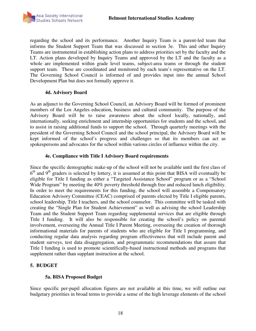

regarding the school and its performance. Another Inquiry Team is a parent-led team that informs the Student Support Team that was discussed in section 3e. This and other Inquiry Teams are instrumental in establishing action plans to address priorities set by the faculty and the LT. Action plans developed by Inquiry Teams and approved by the LT and the faculty as a whole are implemented within grade level teams, subject-area teams or through the student support team. These are coordinated and monitored by each team's representative on the LT. The Governing School Council is informed of and provides input into the annual School Development Plan but does not formally approve it.

#### **4d. Advisory Board**

As an adjunct to the Governing School Council, an Advisory Board will be formed of prominent members of the Los Angeles education, business and cultural community. The purpose of the Advisory Board will be to raise awareness about the school locally, nationally, and internationally, seeking enrichment and internship opportunities for students and the school, and to assist in raising additional funds to support the school. Through quarterly meetings with the president of the Governing School Council and the school principal, the Advisory Board will be kept informed of the school's progress and challenges so that its members can act as spokespersons and advocates for the school within various circles of influence within the city.

#### **4e. Compliance with Title I Advisory Board requirements**

Since the specific demographic make-up of the school will not be available until the first class of 6<sup>th</sup> and 9<sup>th</sup> graders is selected by lottery, it is assumed at this point that BISA will eventually be eligible for Title I funding as either a "Targeted Assistance School" program or as a "School Wide Program" by meeting the 40% poverty threshold through free and reduced lunch eligibility. In order to meet the requirements for this funding, the school will assemble a Compensatory Education Advisory Committee (CEAC) comprised of parents elected by Title I eligible parents, school leadership, Title I teachers, and the school counselor. This committee will be tasked with creating the "Single Plan for Student Achievement" as well as advising the school Leadership Team and the Student Support Team regarding supplemental services that are eligible through Title I funding. It will also be responsible for creating the school's policy on parental involvement, overseeing the Annual Title I Parent Meeting, overseeing the creation of thorough informational materials for parents of students who are eligible for Title I programming, and conducting regular data analysis regarding program effectiveness that will include parent and student surveys, test data disaggregation, and programmatic recommendations that assure that Title I funding is used to promote scientifically-based instructional methods and programs that supplement rather than supplant instruction at the school.

### **5. BUDGET**

### **5a. BISA Proposed Budget**

Since specific per-pupil allocation figures are not available at this time, we will outline our budgetary priorities in broad terms to provide a sense of the high leverage elements of the school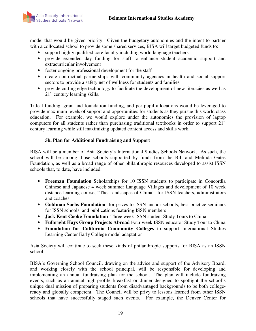model that would be given priority. Given the budgetary autonomies and the intent to partner with a collocated school to provide some shared services, BISA will target budgeted funds to:

- support highly qualified core faculty including world language teachers
- provide extended day funding for staff to enhance student academic support and extracurricular involvement
- foster ongoing professional development for the staff
- create contractual partnerships with community agencies in health and social support sectors to provide a safety net of wellness for students and families
- provide cutting edge technology to facilitate the development of new literacies as well as  $21<sup>st</sup>$  century learning skills.

Title I funding, grant and foundation funding, and per pupil allocations would be leveraged to provide maximum levels of support and opportunities for students as they pursue this world class education. For example, we would explore under the autonomies the provision of laptop computers for all students rather than purchasing traditional textbooks in order to support  $21<sup>st</sup>$ century learning while still maximizing updated content access and skills work.

# **5b. Plan for Additional Fundraising and Support**

BISA will be a member of Asia Society's International Studies Schools Network. As such, the school will be among those schools supported by funds from the Bill and Melinda Gates Foundation, as well as a broad range of other philanthropic resources developed to assist ISSN schools that, to date, have included:

- **Freeman Foundation** Scholarships for 10 ISSN students to participate in Concordia Chinese and Japanese 4 week summer Language Villages and development of 10 week distance learning course, "The Landscapes of China", for ISSN teachers, administrators and coaches
- **Goldman Sachs Foundation** for prizes to ISSN anchor schools, best practice seminars for ISSN schools, and publications featuring ISSN members
- **Jack Kent Cooke Foundation** Three week ISSN student Study Tours to China
- **Fulbright Hays Group Projects Abroad** Four week ISSN educator Study Tour to China
- **Foundation for California Community Colleges** to support International Studies Learning Center Early College model adaptation

Asia Society will continue to seek these kinds of philanthropic supports for BISA as an ISSN school.

BISA's Governing School Council, drawing on the advice and support of the Advisory Board, and working closely with the school principal, will be responsible for developing and implementing an annual fundraising plan for the school. The plan will include fundraising events, such as an annual high-profile breakfast or dinner designed to spotlight the school's unique dual mission of preparing students from disadvantaged backgrounds to be both collegeready and globally competent. The Council will be privy to lessons learned from other ISSN schools that have successfully staged such events. For example, the Denver Center for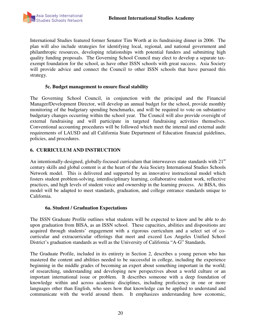

International Studies featured former Senator Tim Worth at its fundraising dinner in 2006. The plan will also include strategies for identifying local, regional, and national government and philanthropic resources, developing relationships with potential funders and submitting high quality funding proposals. The Governing School Council may elect to develop a separate taxexempt foundation for the school, as have other ISSN schools with great success. Asia Society will provide advice and connect the Council to other ISSN schools that have pursued this strategy.

#### **5c. Budget management to ensure fiscal stability**

The Governing School Council, in conjunction with the principal and the Financial Manager/Development Director, will develop an annual budget for the school, provide monthly monitoring of the budgetary spending benchmarks, and will be required to vote on substantive budgetary changes occurring within the school year. The Council will also provide oversight of external fundraising and will participate in targeted fundraising activities themselves. Conventional accounting procedures will be followed which meet the internal and external audit requirements of LAUSD and all California State Department of Education financial guidelines, policies, and procedures.

### **6. CURRICULUM AND INSTRUCTION**

An intentionally-designed, globally-focused curriculum that interweaves state standards with 21<sup>st</sup> century skills and global content is at the heart of the Asia Society International Studies Schools Network model. This is delivered and supported by an innovative instructional model which fosters student problem-solving, interdisciplinary learning, collaborative student work, reflective practices, and high levels of student voice and ownership in the learning process. At BISA, this model will be adapted to meet standards, graduation, and college entrance standards unique to California.

#### **6a. Student / Graduation Expectations**

The ISSN Graduate Profile outlines what students will be expected to know and be able to do upon graduation from BISA, as an ISSN school. These capacities, abilities and dispositions are acquired through students' engagement with a rigorous curriculum and a select set of cocurricular and extracurricular offerings that meet and exceed Los Angeles Unified School District's graduation standards as well as the University of California "A-G" Standards.

The Graduate Profile, included in its entirety in Section 2, describes a young person who has mastered the content and abilities needed to be successful in college, including the experience beginning in the middle grades of becoming an expert about something important in the world; of researching, understanding and developing new perspectives about a world culture or an important international issue or problem. It describes someone with a deep foundation of knowledge within and across academic disciplines, including proficiency in one or more languages other than English, who sees how that knowledge can be applied to understand and communicate with the world around them. It emphasizes understanding how economic,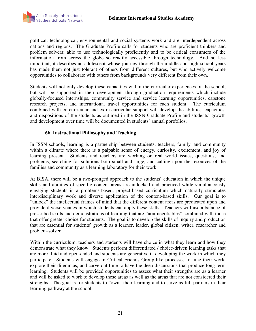

political, technological, environmental and social systems work and are interdependent across nations and regions. The Graduate Profile calls for students who are proficient thinkers and problem solvers; able to use technologically proficiently and to be critical consumers of the information from across the globe so readily accessible through technology. And no less important, it describes an adolescent whose journey through the middle and high school years has made them not just tolerant of others from different cultures, but who actively welcome opportunities to collaborate with others from backgrounds very different from their own.

Students will not only develop these capacities within the curricular experiences of the school, but will be supported in their development through graduation requirements which include globally-focused internships, community service and service learning opportunities, capstone research projects, and international travel opportunities for each student. The curriculum combined with co-curricular and extra-curricular support will develop the abilities, capacities, and dispositions of the students as outlined in the ISSN Graduate Profile and students' growth and development over time will be documented in students' annual portfolios.

### **6b. Instructional Philosophy and Teaching**

In ISSN schools, learning is a partnership between students, teachers, family, and community within a climate where there is a palpable sense of energy, curiosity, excitement, and joy of learning present. Students and teachers are working on real world issues, questions, and problems, searching for solutions both small and large, and calling upon the resources of the families and community as a learning laboratory for their work.

At BISA, there will be a two-pronged approach to the students' education in which the unique skills and abilities of specific content areas are unlocked and practiced while simultaneously engaging students in a problems-based, project-based curriculum which naturally stimulates interdisciplinary work and diverse application of the content-based skills. Our goal is to "unlock" the intellectual frames of mind that the different content areas are predicated upon and provide diverse venues in which students can apply these skills. Teachers will use a balance of prescribed skills and demonstrations of learning that are "non-negotiables" combined with those that offer greater choice for students. The goal is to develop the skills of inquiry and production that are essential for students' growth as a learner, leader, global citizen, writer, researcher and problem-solver.

Within the curriculum, teachers and students will have choice in what they learn and how they demonstrate what they know. Students perform differentiated / choice-driven learning tasks that are more fluid and open-ended and students are generative in developing the work in which they participate. Students will engage in Critical Friends Group-like processes to tune their work, explore their dilemmas, and carve out time to have the deep discussions that produce long-term learning. Students will be provided opportunities to assess what their strengths are as a learner and will be asked to work to develop these areas as well as the areas that are not considered their strengths. The goal is for students to "own" their learning and to serve as full partners in their learning pathway at the school.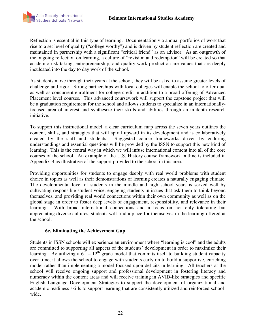

Reflection is essential in this type of learning. Documentation via annual portfolios of work that rise to a set level of quality ("college worthy") and is driven by student reflection are created and maintained in partnership with a significant "critical friend" as an advisor. As an outgrowth of the ongoing reflection on learning, a culture of "revision and redemption" will be created so that academic risk-taking, entrepreneurship, and quality work production are values that are deeply inculcated into the day to day work of the school.

As students move through their years at the school, they will be asked to assume greater levels of challenge and rigor. Strong partnerships with local colleges will enable the school to offer dual as well as concurrent enrollment for college credit in addition to a broad offering of Advanced Placement level courses. This advanced coursework will support the capstone project that will be a graduation requirement for the school and allows students to specialize in an internationallyfocused area of interest and synthesize their skills and abilities through an in-depth research initiative.

To support this instructional model, a clear curriculum map across the seven years outlines the content, skills, and strategies that will spiral upward in its development and is collaboratively created by the staff and students. Suggested course frameworks driven by enduring understandings and essential questions will be provided by the ISSN to support this new kind of learning. This is the central way in which we will infuse international content into all of the core courses of the school. An example of the U.S. History course framework outline is included in Appendix B as illustrative of the support provided to the school in this area.

Providing opportunities for students to engage deeply with real world problems with student choice in topics as well as their demonstrations of learning creates a naturally engaging climate. The developmental level of students in the middle and high school years is served well by cultivating responsible student voice, engaging students in issues that ask them to think beyond themselves, and providing real world connections within their own community as well as on the global stage in order to foster deep levels of engagement, responsibility, and relevance in their learning. With broad international connections and a focus on not only tolerating but appreciating diverse cultures, students will find a place for themselves in the learning offered at the school.

### **6c. Eliminating the Achievement Gap**

Students in ISSN schools will experience an environment where "learning is cool" and the adults are committed to supporting all aspects of the students' development in order to maximize their learning. By utilizing a  $6^{th} - 12^{th}$  grade model that commits itself to building student capacity over time, it allows the school to engage with students early on to build a supportive, enriching model rather than implementing a model focused upon deficits in learning. All teachers at the school will receive ongoing support and professional development in fostering literacy and numeracy within the content areas and will receive training in AVID-like strategies and specific English Language Development Strategies to support the development of organizational and academic readiness skills to support learning that are consistently utilized and reinforced schoolwide.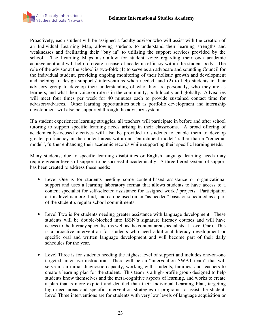

Proactively, each student will be assigned a faculty advisor who will assist with the creation of an Individual Learning Map, allowing students to understand their learning strengths and weaknesses and facilitating their "buy in" to utilizing the support services provided by the school. The Learning Maps also allow for student voice regarding their own academic achievement and will help to create a sense of academic efficacy within the student body. The role of the advisor at the school is two-fold: (1) to serve as an advocate and sounding Council for the individual student, providing ongoing monitoring of their holistic growth and development and helping to design support / interventions when needed, and (2) to help students in their advisory group to develop their understanding of who they are personally, who they are as learners, and what their voice or role is in the community, both locally and globally. Advisories will meet four times per week for 40 minutes each to provide sustained contact time for advisors/advisees. Other learning opportunities such as portfolio development and internship development will also be supported through the advisory system.

If a student experiences learning struggles, all teachers will participate in before and after school tutoring to support specific learning needs arising in their classrooms. A broad offering of academically-focused electives will also be provided to students to enable them to develop greater proficiency in the content areas within an "enrichment model" rather than a "remedial model", further enhancing their academic records while supporting their specific learning needs.

Many students, due to specific learning disabilities or English language learning needs may require greater levels of support to be successful academically. A three-tiered system of support has been created to address these needs:

- Level One is for students needing some content-based assistance or organizational support and uses a learning laboratory format that allows students to have access to a content specialist for self-selected assistance for assigned work / projects. Participation at this level is more fluid, and can be used on an "as needed" basis or scheduled as a part of the student's regular school commitments.
- Level Two is for students needing greater assistance with language development. These students will be double-blocked into ISSN's signature literacy courses and will have access to the literacy specialist (as well as the content area specialists at Level One). This is a proactive intervention for students who need additional literacy development or specific oral and written language development and will become part of their daily schedules for the year.
- Level Three is for students needing the highest level of support and includes one-on-one targeted, intensive instruction. There will be an "intervention SWAT team" that will serve in an initial diagnostic capacity, working with students, families, and teachers to create a learning plan for the student. This team is a high-profile group designed to help students know themselves and the meta-cognitive aspects of learning, and works to create a plan that is more explicit and detailed than their Individual Learning Plan, targeting high need areas and specific intervention strategies or programs to assist the student. Level Three interventions are for students with very low levels of language acquisition or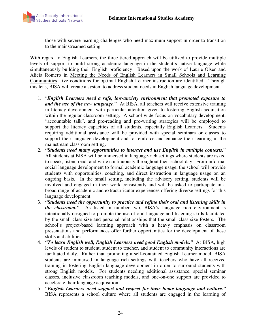

those with severe learning challenges who need maximum support in order to transition to the mainstreamed setting.

With regard to English Learners, the three tiered approach will be utilized to provide multiple levels of support to build strong academic language in the student's native language while simultaneously building their English proficiency. Based upon the work of Laurie Olsen and Alicia Romero in Meeting the Needs of English Learners in Small Schools and Learning Communities, five conditions for optimal English Learner instruction are identified. Through this lens, BISA will create a system to address student needs in English language development.

- 1. "*English Learners need a safe, low-anxiety environment that promoted exposure to and the use of the new language*." At BISA, all teachers will receive extensive training in literacy development with particular attention given to fostering English acquisition within the regular classroom setting. A school-wide focus on vocabulary development, "accountable talk", and pre-reading and pre-writing strategies will be employed to support the literacy capacities of all students, especially English Learners. Students requiring additional assistance will be provided with special seminars or classes to support their language development and to reinforce and enhance their learning in the mainstream classroom setting.
- 2. *"Students need many opportunities to interact and use English in multiple contexts.*" All students at BISA will be immersed in language-rich settings where students are asked to speak, listen, read, and write continuously throughout their school day. From informal social language development to formal academic language usage, the school will provide students with opportunities, coaching, and direct instruction in language usage on an ongoing basis. In the small setting, including the advisory setting, students will be involved and engaged in their work consistently and will be asked to participate in a broad range of academic and extracurricular experiences offering diverse settings for this language development.
- 3. *"Students need the opportunity to practice and refine their oral and listening skills in the classroom."* As listed in number two, BISA's language rich environment is intentionally designed to promote the use of oral language and listening skills facilitated by the small class size and personal relationships that the small class size fosters. The school's project-based learning approach with a heavy emphasis on classroom presentations and performances offer further opportunities for the development of these skills and abilities.
- 4. *"To learn English well, English Learners need good English models."* At BISA, high levels of student to student, student to teacher, and student to community interactions are facilitated daily. Rather than promoting a self-contained English Learner model, BISA students are immersed in language rich settings with teachers who have all received training in fostering English language development in order to surround students with strong English models. For students needing additional assistance, special seminar classes, inclusive classroom teaching models, and one-on-one support are provided to accelerate their language acquisition.
- 5. *"English Learners need support and respect for their home language and culture."* BISA represents a school culture where all students are engaged in the learning of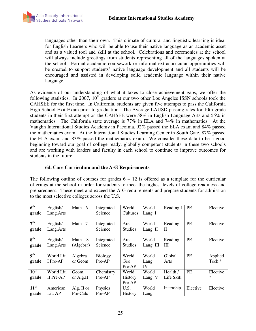languages other than their own. This climate of cultural and linguistic learning is ideal for English Learners who will be able to use their native language as an academic asset and as a valued tool and skill at the school. Celebrations and ceremonies at the school will always include greetings from students representing all of the languages spoken at the school. Formal academic coursework or informal extracurricular opportunities will be created to support students' native language development and all students will be encouraged and assisted in developing solid academic language within their native language.

As evidence of our understanding of what it takes to close achievement gaps, we offer the following statistics. In 2007,  $10^{th}$  graders at our two other Los Angeles ISSN schools took the CAHSEE for the first time. In California, students are given five attempts to pass the California High School Exit Exam prior to graduation. The Average LAUSD passing rates for 10th grade students in their first attempt on the CAHSEE were 58% in English Language Arts and 55% in mathematics. The California state average is 77% in ELA and 74% in mathematics. At the Vaughn International Studies Academy in Pacoima, 92% passed the ELA exam and 84% passed the mathematics exam. At the International Studies Learning Center in South Gate, 87% passed the ELA exam and 83% passed the mathematics exam. We consider these data to be a good beginning toward our goal of college ready, globally competent students in these two schools and are working with leaders and faculty in each school to continue to improve outcomes for students in the future.

### **6d. Core Curriculum and the A-G Requirements**

The following outline of courses for grades  $6 - 12$  is offered as a template for the curricular offerings at the school in order for students to meet the highest levels of college readiness and preparedness. These meet and exceed the A-G requirements and prepare students for admission to the most selective colleges across the U.S.

| 6 <sup>th</sup>          | English/   | Math $-6$  | Integrated     | World          | World     | Reading I    | PE        | Elective |
|--------------------------|------------|------------|----------------|----------------|-----------|--------------|-----------|----------|
| grade                    | Lang. Arts |            | Science        | Cultures       | Lang. I   |              |           |          |
|                          |            |            |                |                |           |              |           |          |
| 7 <sup>th</sup>          | English/   | Math - 7   | Integrated     | Area           | World     | Reading      | PE        | Elective |
| grade                    | Lang. Arts |            | Science        | <b>Studies</b> | Lang. II  | $\mathbf{I}$ |           |          |
|                          |            |            |                |                |           |              |           |          |
| 8 <sup>th</sup>          | English/   | $Math-8$   | Integrated     | Area           | World     | Reading      | <b>PE</b> | Elective |
| grade                    | Lang. Arts | (Algebra)  | Science        | <b>Studies</b> | Lang. III | Ш            |           |          |
|                          |            |            |                |                |           |              |           |          |
| $\mathbf{q}^{\text{th}}$ | World Lit. | Algebra    | <b>Biology</b> | World          | World     | Global       | <b>PE</b> | Applied  |
| grade                    | I Pre-AP   | or Geom    | $Pre-AP$       | Geo            | Lang.     | Arts         |           | Tech.*   |
|                          |            |            |                | Pre-AP         | IV        |              |           |          |
| $10^{\text{th}}$         | World Lit. | Geom.      | Chemistry      | World          | World     | Health /     | PE        | Elective |
| grade                    | II Pre-AP  | or Alg.II  | Pre-AP         | History        | Lang. V   | Life Skill   |           | *        |
|                          |            |            |                | Pre-AP         |           |              |           |          |
| $11^{\text{th}}$         | American   | Alg. II or | Physics        | U.S.           | World     | Internship   | Elective  | Elective |
| grade                    | Lit. AP    | Pre-Calc   | Pre-AP         | History        | Lang.     |              |           |          |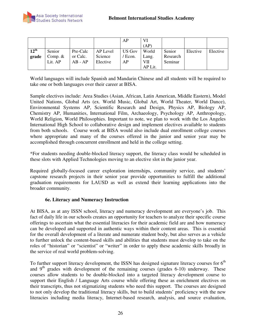|                  |           |           |          | AP            | VI      |          |          |          |
|------------------|-----------|-----------|----------|---------------|---------|----------|----------|----------|
|                  |           |           |          |               | (AP)    |          |          |          |
| $12^{\text{th}}$ | Senior    | Pre-Calc  | AP Level | <b>US Gov</b> | World   | Senior   | Elective | Elective |
| grade            | Comp. $&$ | or Calc.  | Science  | / Econ.       | Lang.   | Research |          |          |
|                  | Lit. AP   | $AB - AP$ | Elective | AP            | VII     | Seminar  |          |          |
|                  |           |           |          |               | AP Lit. |          |          |          |

World languages will include Spanish and Mandarin Chinese and all students will be required to take one or both languages over their career at BISA.

Sample electives include: Area Studies (Asian, African, Latin American, Middle Eastern), Model United Nations, Global Arts (ex. World Music, Global Art, World Theater, World Dance), Environmental Systems AP, Scientific Research and Design, Physics AP, Biology AP, Chemistry AP, Humanities, International Film, Archaeology, Psychology AP, Anthropology, World Religion, World Philosophies. Important to note, we plan to work with the Los Angeles International High School to collaborative design and implement electives available to students from both schools. Course work at BISA would also include dual enrollment college courses where appropriate and many of the courses offered in the junior and senior year may be accomplished through concurrent enrollment and held in the college setting.

\*For students needing double-blocked literacy support, the literacy class would be scheduled in these slots with Applied Technologies moving to an elective slot in the junior year.

Required globally-focused career exploration internships, community service, and students' capstone research projects in their senior year provide opportunities to fulfill the additional graduation requirements for LAUSD as well as extend their learning applications into the broader community.

### **6e. Literacy and Numeracy Instruction**

At BISA, as at any ISSN school, literacy and numeracy development are everyone's job. This fact of daily life in our schools creates an opportunity for teachers to analyze their specific course offerings to ascertain what the essential literacies for their academic field are and how numeracy can be developed and supported in authentic ways within their content areas. This is essential for the overall development of a literate and numerate student body, but also serves as a vehicle to further unlock the content-based skills and abilities that students must develop to take on the roles of "historian" or "scientist" or "writer" in order to apply these academic skills broadly in the service of real world problem-solving.

To further support literacy development, the ISSN has designed signature literacy courses for  $6<sup>th</sup>$ and  $9<sup>th</sup>$  grades with development of the remaining courses (grades 6-10) underway. These courses allow students to be double-blocked into a targeted literacy development course to support their English / Language Arts course while offering these as enrichment electives on their transcripts, thus not stigmatizing students who need this support. The courses are designed to not only develop the traditional literacy skills, but to build students' proficiency with the new literacies including media literacy, Internet-based research, analysis, and source evaluation,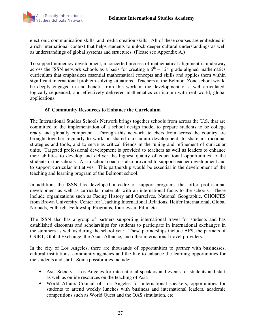

electronic communication skills, and media creation skills. All of these courses are embedded in a rich international context that helps students to unlock deeper cultural understandings as well as understandings of global systems and structures. (Please see Appendix A.)

To support numeracy development, a concerted process of mathematical alignment is underway across the ISSN network schools as a basis for creating a  $6<sup>th</sup> - 12<sup>th</sup>$  grade aligned mathematics curriculum that emphasizes essential mathematical concepts and skills and applies them within significant international problem-solving situations. Teachers at the Belmont Zone school would be deeply engaged in and benefit from this work in the development of a well-articulated, logically-sequenced, and effectively delivered mathematics curriculum with real world, global applications.

#### **6f. Community Resources to Enhance the Curriculum**

The International Studies Schools Network brings together schools from across the U.S. that are committed to the implementation of a school design model to prepare students to be college ready and globally competent. Through this network, teachers from across the country are brought together regularly to work on shared curriculum development, to share instructional strategies and tools, and to serve as critical friends in the tuning and refinement of curricular units. Targeted professional development is provided to teachers as well as leaders to enhance their abilities to develop and deliver the highest quality of educational opportunities to the students in the schools. An in-school coach is also provided to support teacher development and to support curricular initiatives. This partnership would be essential in the development of the teaching and learning program of the Belmont school.

In addition, the ISSN has developed a cadre of support programs that offer professional development as well as curricular materials with an international focus to the schools. These include organizations such as Facing History and Ourselves, National Geographic, CHOICES from Brown University, Center for Teaching International Relations, Heifer International, Global Nomads, Fulbright Fellowship Programs, Journeys in Film, etc.

The ISSN also has a group of partners supporting international travel for students and has established discounts and scholarships for students to participate in international exchanges in the summers as well as during the school year. These partnerships include AFS, the partners of CSIET, Global Exchange, the Asian Alliance, and other international travel providers.

In the city of Los Angeles, there are thousands of opportunities to partner with businesses, cultural institutions, community agencies and the like to enhance the learning opportunities for the students and staff. Some possibilities include:

- Asia Society Los Angeles for international speakers and events for students and staff as well as online resources on the teaching of Asia
- World Affairs Council of Los Angeles for international speakers, opportunities for students to attend weekly lunches with business and international leaders, academic competitions such as World Quest and the OAS simulation, etc.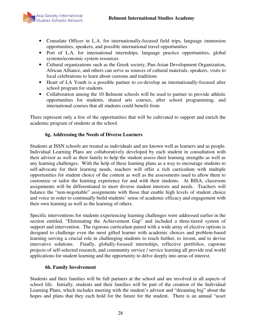

- Consulate Offices in L.A. for internationally-focused field trips, language immersion opportunities, speakers, and possible international travel opportunities
- Port of L.A. for international internships, language practice opportunities, global systems/economic system resources
- Cultural organizations such as the Greek society, Pan-Asian Development Organization, African Alliance, and others can serve as sources of cultural materials, speakers, visits to local celebrations to learn about customs and traditions
- Heart of LA Youth is a possible partner to co-develop an internationally-focused after school program for students
- Collaboration among the 10 Belmont schools will be used to partner to provide athletic opportunities for students, shared arts courses, after school programming, and international courses that all students could benefit from

There represent only a few of the opportunities that will be cultivated to support and enrich the academic program of students at the school.

# **6g. Addressing the Needs of Diverse Learners**

Students at ISSN schools are treated as individuals and are known well as learners and as people. Individual Learning Plans are collaboratively developed by each student in consultation with their advisor as well as their family to help the student assess their learning strengths as well as any learning challenges. With the help of these learning plans as a way to encourage students to self-advocate for their learning needs, teachers will offer a rich curriculum with multiple opportunities for student choice of the content as well as the assessments used to allow them to customize or tailor the learning experience for and with their students. At BISA, classroom assignments will be differentiated to meet diverse student interests and needs. Teachers will balance the "non-negotiable" assignments with those that enable high levels of student choice and voice in order to continually build students' sense of academic efficacy and engagement with their own learning as well as the learning of others.

Specific interventions for students experiencing learning challenges were addressed earlier in the section entitled, "Eliminating the Achievement Gap" and included a three-tiered system of support and intervention. The rigorous curriculum paired with a wide array of elective options is designed to challenge even the most gifted learner with academic choices and problem-based learning serving a crucial role in challenging students to reach further, to invent, and to devise innovative solutions. Finally, globally-focused internships, reflective portfolios, capstone projects of self-selected research, and community service / service learning all provide real world applications for student learning and the opportunity to delve deeply into areas of interest.

### **6h. Family Involvement**

Students and their families will be full partners at the school and are involved in all aspects of school life. Initially, students and their families will be part of the creation of the Individual Learning Plans, which includes meeting with the student's advisor and "dreaming big" about the hopes and plans that they each hold for the future for the student. There is an annual "asset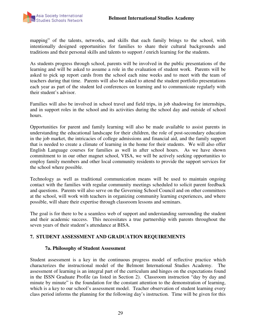

mapping" of the talents, networks, and skills that each family brings to the school, with intentionally designed opportunities for families to share their cultural backgrounds and traditions and their personal skills and talents to support / enrich learning for the students.

As students progress through school, parents will be involved in the public presentations of the learning and will be asked to assume a role in the evaluation of student work. Parents will be asked to pick up report cards from the school each nine weeks and to meet with the team of teachers during that time. Parents will also be asked to attend the student portfolio presentations each year as part of the student led conferences on learning and to communicate regularly with their student's advisor.

Families will also be involved in school travel and field trips, in job shadowing for internships, and in support roles in the school and its activities during the school day and outside of school hours.

Opportunities for parent and family learning will also be made available to assist parents in understanding the educational landscape for their children, the role of post-secondary education in the job market, the intricacies of college admissions and financial aid, and the family support that is needed to create a climate of learning in the home for their students. We will also offer English Language courses for families as well in after school hours. As we have shown commitment to in our other magnet school, VISA, we will be actively seeking opportunities to employ family members and other local community residents to provide the support services for the school where possible.

Technology as well as traditional communication means will be used to maintain ongoing contact with the families with regular community meetings scheduled to solicit parent feedback and questions. Parents will also serve on the Governing School Council and on other committees at the school, will work with teachers in organizing community learning experiences, and where possible, will share their expertise through classroom lessons and seminars.

The goal is for there to be a seamless web of support and understanding surrounding the student and their academic success. This necessitates a true partnership with parents throughout the seven years of their student's attendance at BISA.

### **7. STUDENT ASSESSMENT AND GRADUATION REQUIREMENTS**

#### **7a. Philosophy of Student Assessment**

Student assessment is a key in the continuous progress model of reflective practice which characterizes the instructional model of the Belmont International Studies Academy. The assessment of learning is an integral part of the curriculum and hinges on the expectations found in the ISSN Graduate Profile (as listed in Section 2). Classroom instruction "day by day and minute by minute" is the foundation for the constant attention to the demonstration of learning, which is a key to our school's assessment model. Teacher observation of student learning every class period informs the planning for the following day's instruction. Time will be given for this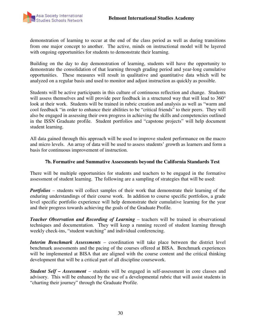

demonstration of learning to occur at the end of the class period as well as during transitions from one major concept to another. The active, minds on instructional model will be layered with ongoing opportunities for students to demonstrate their learning.

Building on the day to day demonstration of learning, students will have the opportunity to demonstrate the consolidation of that learning through grading period and year-long cumulative opportunities. These measures will result in qualitative and quantitative data which will be analyzed on a regular basis and used to monitor and adjust instruction as quickly as possible.

Students will be active participants in this culture of continuous reflection and change. Students will assess themselves and will provide peer feedback in a structured way that will lead to 360° look at their work. Students will be trained in rubric creation and analysis as well as "warm and cool feedback "in order to enhance their abilities to be "critical friends" to their peers. They will also be engaged in assessing their own progress in achieving the skills and competencies outlined in the ISSN Graduate profile. Student portfolios and "capstone projects" will help document student learning.

All data gained through this approach will be used to improve student performance on the macro and micro levels. An array of data will be used to assess students' growth as learners and form a basis for continuous improvement of instruction.

### **7b. Formative and Summative Assessments beyond the California Standards Test**

There will be multiple opportunities for students and teachers to be engaged in the formative assessment of student learning. The following are a sampling of strategies that will be used:

*Portfolios* – students will collect samples of their work that demonstrate their learning of the enduring understandings of their course work. In addition to course specific portfolios, a grade level specific portfolio experience will help demonstrate their cumulative learning for the year and their progress towards achieving the goals of the Graduate Profile.

*Teacher Observation and Recording of Learning* – teachers will be trained in observational techniques and documentation. They will keep a running record of student learning through weekly check-ins, "student watching" and individual conferencing.

*Interim Benchmark Assessments* – coordination will take place between the district level benchmark assessments and the pacing of the courses offered at BISA. Benchmark experiences will be implemented at BISA that are aligned with the course content and the critical thinking development that will be a critical part of all discipline coursework.

*Student Self – Assessment* – students will be engaged in self-assessment in core classes and advisory. This will be enhanced by the use of a developmental rubric that will assist students in "charting their journey" through the Graduate Profile.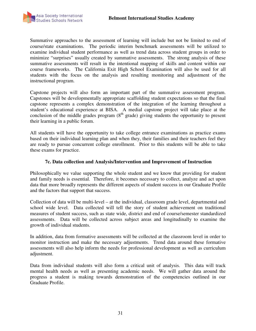

Summative approaches to the assessment of learning will include but not be limited to end of course/state examinations. The periodic interim benchmark assessments will be utilized to examine individual student performance as well as trend data across student groups in order to minimize "surprises" usually created by summative assessments. The strong analysis of these summative assessments will result in the intentional mapping of skills and content within our course frameworks. The California Exit High School Examination will also be used for all students with the focus on the analysis and resulting monitoring and adjustment of the instructional program.

Capstone projects will also form an important part of the summative assessment program. Capstones will be developmentally appropriate scaffolding student expectations so that the final capstone represents a complex demonstration of the integration of the learning throughout a student's educational experience at BISA. A medial capstone project will take place at the conclusion of the middle grades program  $(8<sup>th</sup> \text{ grade})$  giving students the opportunity to present their learning in a public forum.

All students will have the opportunity to take college entrance examinations as practice exams based on their individual learning plan and when they, their families and their teachers feel they are ready to pursue concurrent college enrollment. Prior to this students will be able to take these exams for practice.

#### **7c. Data collection and Analysis/Intervention and Improvement of Instruction**

Philosophically we value supporting the whole student and we know that providing for student and family needs is essential. Therefore, it becomes necessary to collect, analyze and act upon data that more broadly represents the different aspects of student success in our Graduate Profile and the factors that support that success.

Collection of data will be multi-level – at the individual, classroom grade level, departmental and school wide level. Data collected will tell the story of student achievement on traditional measures of student success, such as state wide, district and end of course/semester standardized assessments. Data will be collected across subject areas and longitudinally to examine the growth of individual students.

In addition, data from formative assessments will be collected at the classroom level in order to monitor instruction and make the necessary adjustments. Trend data around these formative assessments will also help inform the needs for professional development as well as curriculum adjustment.

Data from individual students will also form a critical unit of analysis. This data will track mental health needs as well as presenting academic needs. We will gather data around the progress a student is making towards demonstration of the competencies outlined in our Graduate Profile.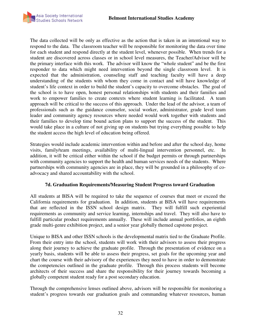

The data collected will be only as effective as the action that is taken in an intentional way to respond to the data. The classroom teacher will be responsible for monitoring the data over time for each student and respond directly at the student level, whenever possible. When trends for a student are discovered across classes or in school level measures, the Teacher/Advisor will be the primary interface with this work. The advisor will know the "whole student" and be the first responder to data which might need intervention beyond the single classroom level. It is expected that the administration, counseling staff and teaching faculty will have a deep understanding of the students with whom they come in contact and will have knowledge of student's life context in order to build the student's capacity to overcome obstacles. The goal of the school is to have open, honest personal relationships with students and their families and work to empower families to create contexts where student learning is facilitated. A team approach will be critical to the success of this approach. Under the lead of the advisor, a team of professionals such as the guidance counselor, social worker, administrator, grade level team leader and community agency resources where needed would work together with students and their families to develop time bound action plans to support the success of the student. This would take place in a culture of not giving up on students but trying everything possible to help the student access the high level of education being offered.

Strategies would include academic intervention within and before and after the school day, home visits, family/team meetings, availability of multi-lingual intervention personnel, etc. In addition, it will be critical either within the school if the budget permits or through partnerships with community agencies to support the health and human services needs of the students. Where partnerships with community agencies are in place, they will be grounded in a philosophy of coadvocacy and shared accountability with the school.

#### **7d. Graduation Requirements/Measuring Student Progress toward Graduation**

All students at BISA will be required to take the sequence of courses that meet or exceed the California requirements for graduation. In addition, students at BISA will have requirements that are reflected in the ISSN school design matrix. They will fulfill such experiential requirements as community and service learning, internships and travel. They will also have to fulfill particular product requirements annually. These will include annual portfolios, an eighth grade multi-genre exhibition project, and a senior year globally themed capstone project.

Unique to BISA and other ISSN schools is the developmental matrix tied to the Graduate Profile. From their entry into the school, students will work with their advisors to assess their progress along their journey to achieve the graduate profile. Through the presentation of evidence on a yearly basis, students will be able to assess their progress, set goals for the upcoming year and chart the course with their advisory of the experiences they need to have in order to demonstrate the competencies outlined in the graduate profile. Through this process students will become architects of their success and share the responsibility for their journey towards becoming a globally competent student ready for a post secondary education.

Through the comprehensive lenses outlined above, advisors will be responsible for monitoring a student's progress towards our graduation goals and commanding whatever resources, human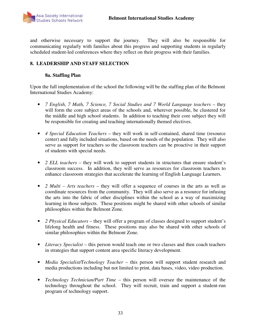and otherwise necessary to support the journey. They will also be responsible for communicating regularly with families about this progress and supporting students in regularly scheduled student-led conferences where they reflect on their progress with their families.

# **8. LEADERSHIP AND STAFF SELECTION**

#### **8a. Staffing Plan**

Upon the full implementation of the school the following will be the staffing plan of the Belmont International Studies Academy:

- *7 English, 7 Math, 7 Science, 7 Social Studies and 7 World Language teachers* they will form the core subject areas of the schools and, wherever possible, be clustered for the middle and high school students. In addition to teaching their core subject they will be responsible for creating and teaching internationally themed electives.
- *4 Special Education Teachers* they will work in self-contained, shared time (resource center) and fully included situations, based on the needs of the population. They will also serve as support for teachers so the classroom teachers can be proactive in their support of students with special needs.
- *2 ELL teachers* they will work to support students in structures that ensure student's classroom success. In addition, they will serve as resources for classroom teachers to enhance classroom strategies that accelerate the learning of English Language Learners.
- *2 Multi Arts teachers* they will offer a sequence of courses in the arts as well as coordinate resources from the community. They will also serve as a resource for infusing the arts into the fabric of other disciplines within the school as a way of maximizing learning in those subjects. These positions might be shared with other schools of similar philosophies within the Belmont Zone.
- *2 Physical Educators* they will offer a program of classes designed to support student's lifelong health and fitness. These positions may also be shared with other schools of similar philosophies within the Belmont Zone.
- *Literacy Specialist* this person would teach one or two classes and then coach teachers in strategies that support content area specific literacy development.
- *Media Specialist/Technology Teacher* this person will support student research and media productions including but not limited to print, data bases, video, video production.
- *Technology Technician/Part Time* this person will oversee the maintenance of the technology throughout the school. They will recruit, train and support a student-run program of technology support.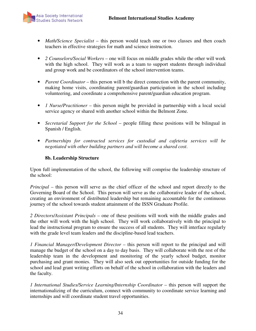

- *Math/Science Specialist* this person would teach one or two classes and then coach teachers in effective strategies for math and science instruction.
- *2 Counselors/Social Workers* one will focus on middle grades while the other will work with the high school. They will work as a team to support students through individual and group work and be coordinators of the school intervention teams.
- *Parent Coordinator* this person will b the direct connection with the parent community, making home visits, coordinating parent/guardian participation in the school including volunteering, and coordinate a comprehensive parent/guardian education program.
- *1 Nurse/Practitioner* this person might be provided in partnership with a local social service agency or shared with another school within the Belmont Zone.
- *Secretarial Support for the School* people filling these positions will be bilingual in Spanish / English.
- *Partnerships for contracted services for custodial and cafeteria services will be negotiated with other building partners and will become a shared cost*.

### **8b. Leadership Structure**

Upon full implementation of the school, the following will comprise the leadership structure of the school:

*Principal –* this person will serve as the chief officer of the school and report directly to the Governing Board of the School. This person will serve as the collaborative leader of the school, creating an environment of distributed leadership but remaining accountable for the continuous journey of the school towards student attainment of the ISSN Graduate Profile.

*2 Directors/Assistant Principals* – one of these positions will work with the middle grades and the other will work with the high school. They will work collaboratively with the principal to lead the instructional program to ensure the success of all students. They will interface regularly with the grade level team leaders and the discipline-based lead teachers.

*1 Financial Manager/Development Director* – this person will report to the principal and will manage the budget of the school on a day to day basis. They will collaborate with the rest of the leadership team in the development and monitoring of the yearly school budget, monitor purchasing and grant monies. They will also seek out opportunities for outside funding for the school and lead grant writing efforts on behalf of the school in collaboration with the leaders and the faculty.

*1 International Studies/Service Learning/Internship Coordinator* – this person will support the internationalizing of the curriculum, connect with community to coordinate service learning and internships and will coordinate student travel opportunities.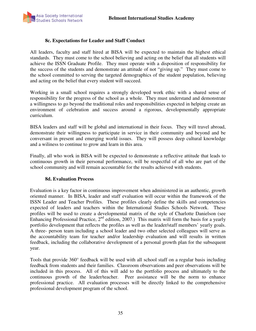

#### **8c. Expectations for Leader and Staff Conduct**

All leaders, faculty and staff hired at BISA will be expected to maintain the highest ethical standards. They must come to the school believing and acting on the belief that all students will achieve the ISSN Graduate Profile. They must operate with a disposition of responsibility for the success of the students and demonstrate an attitude of not "giving up." They must come to the school committed to serving the targeted demographics of the student population, believing and acting on the belief that every student will succeed.

Working in a small school requires a strongly developed work ethic with a shared sense of responsibility for the progress of the school as a whole. They must understand and demonstrate a willingness to go beyond the traditional roles and responsibilities expected in helping create an environment of celebration and success around a rigorous, developmentally appropriate curriculum.

BISA leaders and staff will be global and international in their focus. They will travel abroad, demonstrate their willingness to participate in service in their community and beyond and be conversant in present and emerging world issues. They will possess deep cultural knowledge and a wiliness to continue to grow and learn in this area.

Finally, all who work in BISA will be expected to demonstrate a reflective attitude that leads to continuous growth in their personal performance, will be respectful of all who are part of the school community and will remain accountable for the results achieved with students.

#### **8d. Evaluation Process**

Evaluation is a key factor in continuous improvement when administered in an authentic, growth oriented manner. In BISA, leader and staff evaluation will occur within the framework of the ISSN Leader and Teacher Profiles. These profiles clearly define the skills and competencies expected of leaders and teachers within the International Studies Schools Network. These profiles will be used to create a developmental matrix of the style of Charlotte Danielson (see Enhancing Professional Practice,  $2<sup>nd</sup>$  edition, 2007.) This matrix will form the basis for a yearly portfolio development that reflects the profiles as well as the leader/staff members' yearly goals. A three- person team including a school leader and two other selected colleagues will serve as the accountability team for teacher and/or leadership evaluation and will results in written feedback, including the collaborative development of a personal growth plan for the subsequent year.

Tools that provide 360° feedback will be used with all school staff on a regular basis including feedback from students and their families. Classroom observations and peer observations will be included in this process. All of this will add to the portfolio process and ultimately to the continuous growth of the leader/teacher. Peer assistance will be the norm to enhance professional practice. All evaluation processes will be directly linked to the comprehensive professional development program of the school.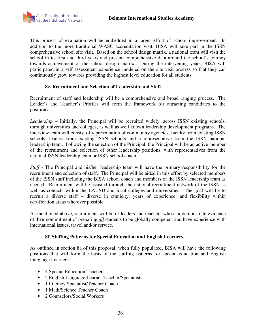

This process of evaluation will be embedded in a larger effort of school improvement. In addition to the more traditional WASC accreditation visit, BISA will take part in the ISSN comprehensive school site visit. Based on the school design matrix, a national team will visit the school in its first and third years and present comprehensive data around the school's journey towards achievement of the school design matrix. During the intervening years, BISA will participated in a self assessment experience modeled on the site visit process so that they can continuously grow towards providing the highest level education for all students.

#### **8e. Recruitment and Selection of Leadership and Staff**

Recruitment of staff and leadership will be a comprehensive and broad ranging process. The Leader's and Teacher's Profiles will form the framework for attracting candidates to the positions.

*Leadership* – Initially, the Principal will be recruited widely, across ISSN existing schools, through universities and colleges, as well as well known leadership development programs. The interview team will consist of representation of community agencies, faculty from existing ISSN schools, leaders from existing ISSN schools and a representative from the ISSN national leadership team. Following the selection of the Principal, the Principal will be an active member of the recruitment and selection of other leadership positions, with representatives from the national ISSN leadership team or ISSN school coach.

*Staff* - The Principal and his/her leadership team will have the primary responsibility for the recruitment and selection of staff. The Principal will be aided in this effort by selected members of the ISSN staff including the BISA school coach and members of the ISSN leadership team as needed. Recruitment will be assisted through the national recruitment network of the ISSN as well as contacts within the LAUSD and local colleges and universities. The goal will be to recruit a diverse staff – diverse in ethnicity, years of experience, and flexibility within certification areas wherever possible.

As mentioned above, recruitment will be of leaders and teachers who can demonstrate evidence of their commitment of preparing *all* students to be globally competent and have experience with international issues, travel and/or service.

#### **8f. Staffing Patterns for Special Education and English Learners**

As outlined in section 8a of this proposal, when fully populated, BISA will have the following positions that will form the basis of the staffing patterns for special education and English Language Learners:

- 4 Special Education Teachers
- 2 English Language Learner Teacher/Specialists
- 1 Literacy Specialist/Teacher Coach
- 1 Math/Science Teacher Coach
- 2 Counselors/Social Workers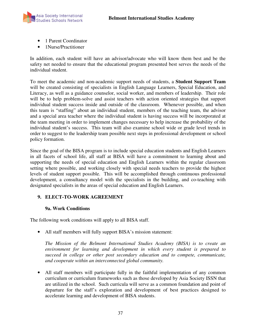

- 1 Parent Coordinator
- 1Nurse/Practitioner

In addition, each student will have an advisor/advocate who will know them best and be the safety net needed to ensure that the educational program presented best serves the needs of the individual student.

To meet the academic and non-academic support needs of students, a **Student Support Team** will be created consisting of specialists in English Language Learners, Special Education, and Literacy, as well as a guidance counselor, social worker, and members of leadership. Their role will be to help problem-solve and assist teachers with action oriented strategies that support individual student success inside and outside of the classroom. Whenever possible, and when this team is "staffing" about an individual student, members of the teaching team, the advisor and a special area teacher where the individual student is having success will be incorporated at the team meeting in order to implement changes necessary to help increase the probability of the individual student's success. This team will also examine school wide or grade level trends in order to suggest to the leadership team possible next steps in professional development or school policy formation.

Since the goal of the BISA program is to include special education students and English Learners in all facets of school life, all staff at BISA will have a commitment to learning about and supporting the needs of special education and English Learners within the regular classroom setting where possible, and working closely with special needs teachers to provide the highest levels of student support possible. This will be accomplished through continuous professional development, a consultancy model with the specialists in the building, and co-teaching with designated specialists in the areas of special education and English Learners.

### **9. ELECT-TO-WORK AGREEMENT**

### **9a. Work Conditions**

The following work conditions will apply to all BISA staff.

• All staff members will fully support BISA's mission statement:

 *The Mission of the Belmont International Studies Academy (BISA) is to create an environment for learning and development in which every student is prepared to succeed in college or other post secondary education and to compete, communicate, and cooperate within an interconnected global community.* 

• All staff members will participate fully in the faithful implementation of any common curriculum or curriculum frameworks such as those developed by Asia Society ISSN that are utilized in the school. Such curricula will serve as a common foundation and point of departure for the staff's exploration and development of best practices designed to accelerate learning and development of BISA students.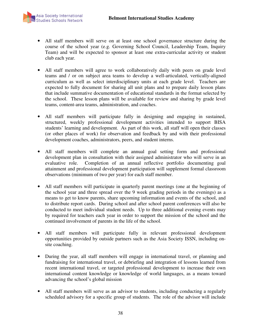

- All staff members will serve on at least one school governance structure during the course of the school year (e.g. Governing School Council, Leadership Team, Inquiry Team) and will be expected to sponsor at least one extra-curricular activity or student club each year.
- All staff members will agree to work collaboratively daily with peers on grade level teams and / or on subject area teams to develop a well-articulated, vertically-aligned curriculum as well as select interdisciplinary units at each grade level. Teachers are expected to fully document for sharing all unit plans and to prepare daily lesson plans that include summative documentation of educational standards in the format selected by the school. These lesson plans will be available for review and sharing by grade level teams, content-area teams, administration, and coaches.
- All staff members will participate fully in designing and engaging in sustained, structured, weekly professional development activities intended to support BISA students' learning and development. As part of this work, all staff will open their classes (or other places of work) for observation and feedback by and with their professional development coaches, administrators, peers, and student interns.
- All staff members will complete an annual goal setting form and professional development plan in consultation with their assigned administrator who will serve in an evaluative role. Completion of an annual reflective portfolio documenting goal attainment and professional development participation will supplement formal classroom observations (minimum of two per year) for each staff member.
- All staff members will participate in quarterly parent meetings (one at the beginning of the school year and three spread over the 9 week grading periods in the evenings) as a means to get to know parents, share upcoming information and events of the school, and to distribute report cards. During school and after school parent conferences will also be conducted to meet individual student needs. Up to three additional evening events may by required for teachers each year in order to support the mission of the school and the continued involvement of parents in the life of the school.
- All staff members will participate fully in relevant professional development opportunities provided by outside partners such as the Asia Society ISSN, including onsite coaching.
- During the year, all staff members will engage in international travel, or planning and fundraising for international travel, or debriefing and integration of lessons learned from recent international travel, or targeted professional development to increase their own international content knowledge or knowledge of world languages, as a means toward advancing the school's global mission
- All staff members will serve as an advisor to students, including conducting a regularly scheduled advisory for a specific group of students. The role of the advisor will include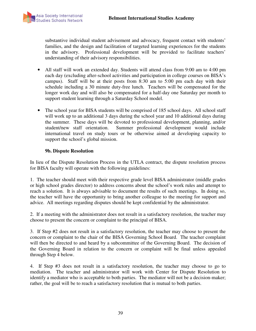

substantive individual student advisement and advocacy, frequent contact with students' families, and the design and facilitation of targeted learning experiences for the students in the advisory. Professional development will be provided to facilitate teachers' understanding of their advisory responsibilities.

- All staff will work an extended day. Students will attend class from 9:00 am to 4:00 pm each day (excluding after-school activities and participation in college courses on BISA's campus). Staff will be at their posts from 8:30 am to 5:00 pm each day with their schedule including a 30 minute duty-free lunch. Teachers will be compensated for the longer work day and will also be compensated for a half-day one Saturday per month to support student learning through a Saturday School model.
- The school year for BISA students will be comprised of 185 school days. All school staff will work up to an additional 3 days during the school year and 10 additional days during the summer. These days will be devoted to professional development, planning, and/or student/new staff orientation. Summer professional development would include international travel on study tours or be otherwise aimed at developing capacity to support the school's global mission.

#### **9b. Dispute Resolution**

In lieu of the Dispute Resolution Process in the UTLA contract, the dispute resolution process for BISA faculty will operate with the following guidelines:

1. The teacher should meet with their respective grade level BISA administrator (middle grades or high school grades director) to address concerns about the school's work rules and attempt to reach a solution. It is always advisable to document the results of such meetings. In doing so, the teacher will have the opportunity to bring another colleague to the meeting for support and advice. All meetings regarding disputes should be kept confidential by the administrator.

2. If a meeting with the administrator does not result in a satisfactory resolution, the teacher may choose to present the concern or complaint to the principal of BISA.

3. If Step #2 does not result in a satisfactory resolution, the teacher may choose to present the concern or complaint to the chair of the BISA Governing School Board. The teacher complaint will then be directed to and heard by a subcommittee of the Governing Board. The decision of the Governing Board in relation to the concern or complaint will be final unless appealed through Step 4 below.

4. If Step #3 does not result in a satisfactory resolution, the teacher may choose to go to mediation. The teacher and administrator will work with Center for Dispute Resolution to identify a mediator who is acceptable to both parties. The mediator will not be a decision-maker; rather, the goal will be to reach a satisfactory resolution that is mutual to both parties.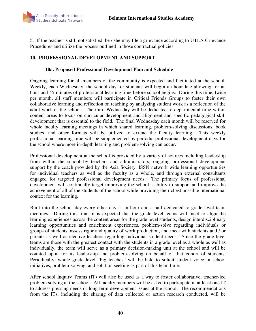

5. If the teacher is still not satisfied, he / she may file a grievance according to UTLA Grievance Procedures and utilize the process outlined in those contractual policies.

#### **10. PROFESSIONAL DEVELOPMENT AND SUPPORT**

#### **10a. Proposed Professional Development Plan and Schedule**

Ongoing learning for all members of the community is expected and facilitated at the school. Weekly, each Wednesday, the school day for students will begin an hour late allowing for an hour and 45 minutes of professional learning time before school begins. During this time, twice per month, all staff members will participate in Critical Friends Groups to foster their own collaborative learning and reflection on teaching by analyzing student work as a reflection of the adult work of the school. The third Wednesday will be dedicated to departmental time within content areas to focus on curricular development and alignment and specific pedagogical skill development that is essential to the field. The final Wednesday each month will be reserved for whole faculty learning meetings in which shared learning, problem-solving discussions, book studies, and other formats will be utilized to extend the faculty learning. This weekly professional learning time will be supplemented by periodic professional development days for the school where more in-depth learning and problem-solving can occur.

Professional development at the school is provided by a variety of sources including leadership from within the school by teachers and administrators, ongoing professional development support by the coach provided by the Asia Society, ISSN network wide learning opportunities for individual teachers as well as the faculty as a whole, and through external consultants engaged for targeted professional development needs. The primary focus of professional development will continually target improving the school's ability to support and improve the achievement of all of the students of the school while providing the richest possible international context for the learning.

Built into the school day every other day is an hour and a half dedicated to grade level team meetings. During this time, it is expected that the grade level teams will meet to align the learning experiences across the content areas for the grade level students, design interdisciplinary learning opportunities and enrichment experiences, problem-solve regarding individuals or groups of students, assess rigor and quality of work production, and meet with students and / or parents as well as elective teachers regarding individual student needs. Since the grade level teams are those with the greatest contact with the students in a grade level as a whole as well as individually, the team will serve as a primary decision-making unit at the school and will be counted upon for its leadership and problem-solving on behalf of that cohort of students. Periodically, whole grade level "big teaches" will be held to solicit student voice in school initiatives, problem-solving, and solution seeking as part of this team time.

After school Inquiry Teams (IT) will also be used as a way to foster collaborative, teacher-led problem solving at the school. All faculty members will be asked to participate in at least one IT to address pressing needs or long-term development issues at the school. The recommendations from the ITs, including the sharing of data collected or action research conducted, will be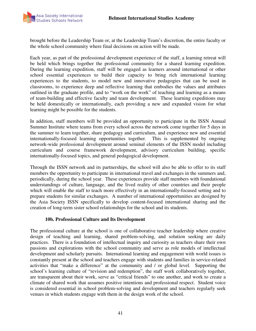

brought before the Leadership Team or, at the Leadership Team's discretion, the entire faculty or the whole school community where final decisions on action will be made.

Each year, as part of the professional development experience of the staff, a learning retreat will be held which brings together the professional community for a shared learning expedition. During the learning expedition, staff will be engaged as learners around international or other school essential experiences to build their capacity to bring rich international learning experiences to the students, to model new and innovative pedagogies that can be used in classrooms, to experience deep and reflective learning that embodies the values and attributes outlined in the graduate profile, and to "work on the work" of teaching and learning as a means of team-building and effective faculty and team development. These learning expeditions may be held domestically or internationally, each providing a new and expanded vision for what learning might be possible for the students.

In addition, staff members will be provided an opportunity to participate in the ISSN Annual Summer Institute where teams from every school across the network come together for 5 days in the summer to learn together, share pedagogy and curriculum, and experience new and essential internationally-focused learning opportunities together. This is supplemented by ongoing network-wide professional development around seminal elements of the ISSN model including curriculum and course framework development, advisory curriculum building, specific internationally-focused topics, and general pedagogical development.

Through the ISSN network and its partnerships, the school will also be able to offer to its staff members the opportunity to participate in international travel and exchanges in the summers and, periodically, during the school year. These experiences provide staff members with foundational understandings of culture, language, and the lived reality of other countries and their people which will enable the staff to teach more effectively in an internationally-focused setting and to prepare students for similar exchanges. A number of international opportunities are designed by the Asia Society ISSN specifically to develop content-focused international sharing and the creation of long-term sister school relationships for the school and its students.

#### **10b. Professional Culture and Its Development**

The professional culture at the school is one of collaborative teacher leadership where creative design of teaching and learning, shared problem-solving, and solution seeking are daily practices. There is a foundation of intellectual inquiry and curiosity as teachers share their own passions and explorations with the school community and serve as role models of intellectual development and scholarly pursuits. International learning and engagement with world issues is constantly present at the school and teachers engage with students and families in service-related activities that "make a difference" at the community and / or global level. Supporting the school's learning culture of "revision and redemption", the staff work collaboratively together, are transparent about their work, serve as "critical friends" to one another, and work to create a climate of shared work that assumes positive intentions and professional respect. Student voice is considered essential in school problem-solving and development and teachers regularly seek venues in which students engage with them in the design work of the school.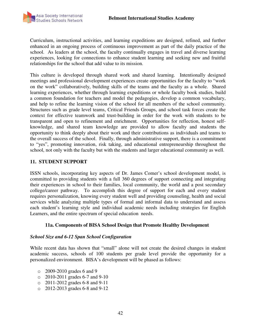

Curriculum, instructional activities, and learning expeditions are designed, refined, and further enhanced in an ongoing process of continuous improvement as part of the daily practice of the school. As leaders at the school, the faculty continually engages in travel and diverse learning experiences, looking for connections to enhance student learning and seeking new and fruitful relationships for the school that add value to its mission.

This culture is developed through shared work and shared learning. Intentionally designed meetings and professional development experiences create opportunities for the faculty to "work on the work" collaboratively, building skills of the teams and the faculty as a whole. Shared learning experiences, whether through learning expeditions or whole faculty book studies, build a common foundation for teachers and model the pedagogies, develop a common vocabulary, and help to refine the learning vision of the school for all members of the school community. Structures such as grade level teams, Critical Friends Groups, and school task forces create the context for effective teamwork and trust-building in order for the work with students to be transparent and open to refinement and enrichment. Opportunities for reflection, honest selfknowledge, and shared team knowledge are provided to allow faculty and students the opportunity to think deeply about their work and their contributions as individuals and teams to the overall success of the school. Finally, through administrative support, there is a commitment to "yes", promoting innovation, risk taking, and educational entrepreneurship throughout the school, not only with the faculty but with the students and larger educational community as well.

### **11. STUDENT SUPPORT**

ISSN schools, incorporating key aspects of Dr. James Comer's school development model, is committed to providing students with a full 360 degrees of support connecting and integrating their experiences in school to their families, local community, the world and a post secondary college/career pathway. To accomplish this degree of support for each and every student requires personalization, knowing every student well and providing counseling, health and social services while analyzing multiple types of formal and informal data to understand and assess each student's learning style and individual academic needs including strategies for English Learners, and the entire spectrum of special education needs.

### **11a. Components of BISA School Design that Promote Healthy Development**

### *School Size and 6-12 Span School Configuration*

While recent data has shown that "small" alone will not create the desired changes in student academic success, schools of 100 students per grade level provide the opportunity for a personalized environment. BISA's development will be phased as follows:

- o 2009-2010 grades 6 and 9
- o 2010-2011 grades 6-7 and 9-10
- o 2011-2012 grades 6-8 and 9-11
- o 2012-2013 grades 6-8 and 9-12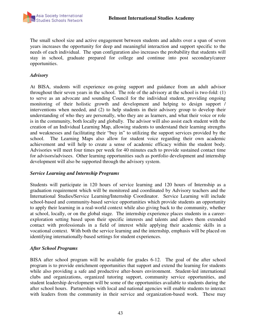The small school size and active engagement between students and adults over a span of seven years increases the opportunity for deep and meaningful interaction and support specific to the needs of each individual. The span configuration also increases the probability that students will stay in school, graduate prepared for college and continue into post secondary/career opportunities.

### *Advisory*

At BISA, students will experience on-going support and guidance from an adult advisor throughout their seven years in the school. The role of the advisory at the school is two-fold: (1) to serve as an advocate and sounding Council for the individual student, providing ongoing monitoring of their holistic growth and development and helping to design support / interventions when needed, and (2) to help students in their advisory group to develop their understanding of who they are personally, who they are as learners, and what their voice or role is in the community, both locally and globally. The advisor will also assist each student with the creation of an Individual Learning Map, allowing students to understand their learning strengths and weaknesses and facilitating their "buy in" to utilizing the support services provided by the school. The Learning Maps also allow for student voice regarding their own academic achievement and will help to create a sense of academic efficacy within the student body. Advisories will meet four times per week for 40 minutes each to provide sustained contact time for advisors/advisees. Other learning opportunities such as portfolio development and internship development will also be supported through the advisory system.

### *Service Learning and Internship Programs*

Students will participate in 120 hours of service learning and 120 hours of Internship as a graduation requirement which will be monitored and coordinated by Advisory teachers and the International Studies/Service Learning/Internship Coordinator. Service Learning will include school-based and community-based service opportunities which provide students an opportunity to apply their learning in a real-world context while also giving back to the community, whether at school, locally, or on the global stage. The internship experience places students in a careerexploration setting based upon their specific interests and talents and allows them extended contact with professionals in a field of interest while applying their academic skills in a vocational context. With both the service learning and the internship, emphasis will be placed on identifying internationally-based settings for student experiences.

#### *After School Programs*

BISA after school program will be available for grades 6-12. The goal of the after school program is to provide enrichment opportunities that support and extend the learning for students while also providing a safe and productive after-hours environment. Student-led international clubs and organizations, organized tutoring support, community service opportunities, and student leadership development will be some of the opportunities available to students during the after school hours. Partnerships with local and national agencies will enable students to interact with leaders from the community in their service and organization-based work. These may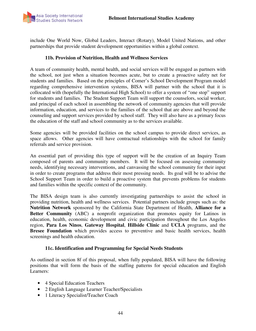

include One World Now, Global Leaders, Interact (Rotary), Model United Nations, and other partnerships that provide student development opportunities within a global context.

#### **11b. Provision of Nutrition, Health and Wellness Services**

A team of community health, mental health, and social services will be engaged as partners with the school, not just when a situation becomes acute, but to create a proactive safety net for students and families. Based on the principles of Comer's School Development Program model regarding comprehensive intervention systems, BISA will partner with the school that it is collocated with (hopefully the International High School) to offer a system of "one stop" support for students and families. The Student Support Team will support the counselors, social worker, and principal of each school in assembling the network of community agencies that will provide information, education, and services to the families of the school that are above and beyond the counseling and support services provided by school staff. They will also have as a primary focus the education of the staff and school community as to the services available.

Some agencies will be provided facilities on the school campus to provide direct services, as space allows. Other agencies will have contractual relationships with the school for family referrals and service provision.

An essential part of providing this type of support will be the creation of an Inquiry Team composed of parents and community members. It will be focused on assessing community needs, identifying necessary interventions, and canvassing the school community for their input in order to create programs that address their most pressing needs. Its goal will be to advise the School Support Team in order to build a proactive system that prevents problems for students and families within the specific context of the community.

The BISA design team is also currently investigating partnerships to assist the school in providing nutrition, health and wellness services. Potential partners include groups such as: the **Nutrition Network** sponsored by the California State Department of Health, **Alliance for a Better Community** (ABC) a nonprofit organization that promotes equity for Latinos in education, health, economic development and civic participation throughout the Los Angeles region, **Para Los Ninos**, **Gateway Hospital**, **Hillside Clinic** and **UCLA** programs, and the **Bresee Foundation** which provides access to preventive and basic health services, health screenings and health education.

#### **11c. Identification and Programming for Special Needs Students**

As outlined in section 8f of this proposal, when fully populated, BISA will have the following positions that will form the basis of the staffing patterns for special education and English Learners:

- 4 Special Education Teachers
- 2 English Language Learner Teacher/Specialists
- 1 Literacy Specialist/Teacher Coach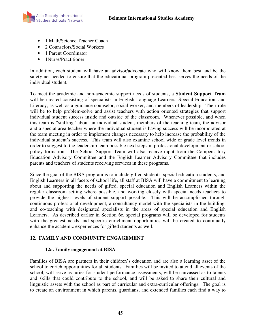

- 1 Math/Science Teacher Coach
- 2 Counselors/Social Workers
- 1 Parent Coordinator
- 1Nurse/Practitioner

In addition, each student will have an advisor/advocate who will know them best and be the safety net needed to ensure that the educational program presented best serves the needs of the individual student.

To meet the academic and non-academic support needs of students, a **Student Support Team** will be created consisting of specialists in English Language Learners, Special Education, and Literacy, as well as a guidance counselor, social worker, and members of leadership. Their role will be to help problem-solve and assist teachers with action oriented strategies that support individual student success inside and outside of the classroom. Whenever possible, and when this team is "staffing" about an individual student, members of the teaching team, the advisor and a special area teacher where the individual student is having success will be incorporated at the team meeting in order to implement changes necessary to help increase the probability of the individual student's success. This team will also examine school wide or grade level trends in order to suggest to the leadership team possible next steps in professional development or school policy formation. The School Support Team will also receive input from the Compensatory Education Advisory Committee and the English Learner Advisory Committee that includes parents and teachers of students receiving services in these programs.

Since the goal of the BISA program is to include gifted students, special education students, and English Learners in all facets of school life, all staff at BISA will have a commitment to learning about and supporting the needs of gifted, special education and English Learners within the regular classroom setting where possible, and working closely with special needs teachers to provide the highest levels of student support possible. This will be accomplished through continuous professional development, a consultancy model with the specialists in the building, and co-teaching with designated specialists in the areas of special education and English Learners. As described earlier in Section 6c, special programs will be developed for students with the greatest needs and specific enrichment opportunities will be created to continually enhance the academic experiences for gifted students as well.

# **12. FAMILY AND COMMUNITY ENGAGEMENT**

### **12a. Family engagement at BISA**

Families of BISA are partners in their children's education and are also a learning asset of the school to enrich opportunities for all students. Families will be invited to attend all events of the school, will serve as juries for student performance assessments, will be canvassed as to talents and skills that could contribute to the school, and will be asked to share their cultural and linguistic assets with the school as part of curricular and extra-curricular offerings. The goal is to create an environment in which parents, guardians, and extended families each find a way to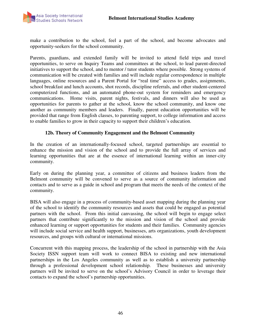

make a contribution to the school, feel a part of the school, and become advocates and opportunity-seekers for the school community.

Parents, guardians, and extended family will be invited to attend field trips and travel opportunities, to serve on Inquiry Teams and committees at the school, to lead parent-directed initiatives to support the school, and to mentor / tutor students where possible. Strong systems of communication will be created with families and will include regular correspondence in multiple languages, online resources and a Parent Portal for "real time" access to grades, assignments, school breakfast and lunch accounts, shot records, discipline referrals, and other student-centered computerized functions, and an automated phone-out system for reminders and emergency communications. Home visits, parent nights, festivals, and dinners will also be used as opportunities for parents to gather at the school, know the school community, and know one another as community members and leaders. Finally, parent education opportunities will be provided that range from English classes, to parenting support, to college information and access to enable families to grow in their capacity to support their children's education.

#### **12b. Theory of Community Engagement and the Belmont Community**

In the creation of an internationally-focused school, targeted partnerships are essential to enhance the mission and vision of the school and to provide the full array of services and learning opportunities that are at the essence of international learning within an inner-city community.

Early on during the planning year, a committee of citizens and business leaders from the Belmont community will be convened to serve as a source of community information and contacts and to serve as a guide in school and program that meets the needs of the context of the community.

BISA will also engage in a process of community-based asset mapping during the planning year of the school to identify the community resources and assets that could be engaged as potential partners with the school. From this initial canvassing, the school will begin to engage select partners that contribute significantly to the mission and vision of the school and provide enhanced learning or support opportunities for students and their families. Community agencies will include social service and health support, businesses, arts organizations, youth development resources, and groups with cultural or international missions.

Concurrent with this mapping process, the leadership of the school in partnership with the Asia Society ISSN support team will work to connect BISA to existing and new international partnerships in the Los Angeles community as well as to establish a university partnership through a professional development school relationship. These businesses and university partners will be invited to serve on the school's Advisory Council in order to leverage their contacts to expand the school's partnership opportunities.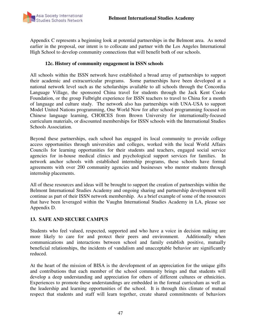

Appendix C represents a beginning look at potential partnerships in the Belmont area. As noted earlier in the proposal, our intent is to collocate and partner with the Los Angeles International High School to develop community connections that will benefit both of our schools.

#### **12c. History of community engagement in ISSN schools**

All schools within the ISSN network have established a broad array of partnerships to support their academic and extracurricular programs. Some partnerships have been developed at a national network level such as the scholarships available to all schools through the Concordia Language Village, the sponsored China travel for students through the Jack Kent Cooke Foundation, or the group Fulbright experience for ISSN teachers to travel to China for a month of language and culture study. The network also has partnerships with UNA-USA to support Model United Nations programming, One World Now for after school programming focused on Chinese language learning, CHOICES from Brown University for internationally-focused curriculum materials, or discounted memberships for ISSN schools with the International Studies Schools Association.

Beyond these partnerships, each school has engaged its local community to provide college access opportunities through universities and colleges, worked with the local World Affairs Councils for learning opportunities for their students and teachers, engaged social service agencies for in-house medical clinics and psychological support services for families. In network anchor schools with established internship programs, these schools have formal agreements with over 200 community agencies and businesses who mentor students through internship placements.

All of these resources and ideas will be brought to support the creation of partnerships within the Belmont International Studies Academy and ongoing sharing and partnership development will continue as part of their ISSN network membership.As a brief example of some of the resources that have been leveraged within the Vaughn International Studies Academy in LA, please see Appendix D.

#### **13. SAFE AND SECURE CAMPUS**

Students who feel valued, respected, supported and who have a voice in decision making are more likely to care for and protect their peers and environment. Additionally when communications and interactions between school and family establish positive, mutually beneficial relationships, the incidents of vandalism and unacceptable behavior are significantly reduced.

At the heart of the mission of BISA is the development of an appreciation for the unique gifts and contributions that each member of the school community brings and that students will develop a deep understanding and appreciation for others of different cultures or ethnicities. Experiences to promote these understandings are embedded in the formal curriculum as well as the leadership and learning opportunities of the school. It is through this climate of mutual respect that students and staff will learn together, create shared commitments of behaviors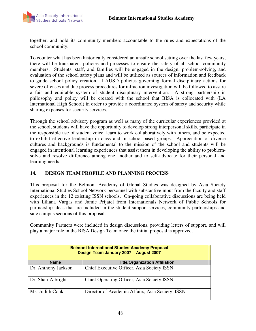

together, and hold its community members accountable to the rules and expectations of the school community.

To counter what has been historically considered an unsafe school setting over the last few years, there will be transparent policies and processes to ensure the safety of all school community members. Students, staff, and families will be engaged in the design, problem-solving, and evaluation of the school safety plans and will be utilized as sources of information and feedback to guide school policy creation. LAUSD policies governing formal disciplinary actions for severe offenses and due process procedures for infraction investigation will be followed to assure a fair and equitable system of student disciplinary intervention. A strong partnership in philosophy and policy will be created with the school that BISA is collocated with (LA International High School) in order to provide a coordinated system of safety and security while sharing expenses for security services.

Through the school advisory program as well as many of the curricular experiences provided at the school, students will have the opportunity to develop strong interpersonal skills, participate in the responsible use of student voice, learn to work collaboratively with others, and be expected to exhibit effective leadership in class and in school-based groups. Appreciation of diverse cultures and backgrounds is fundamental to the mission of the school and students will be engaged in intentional learning experiences that assist them in developing the ability to problemsolve and resolve difference among one another and to self-advocate for their personal and learning needs.

### **14. DESIGN TEAM PROFILE AND PLANNING PROCESS**

This proposal for the Belmont Academy of Global Studies was designed by Asia Society International Studies School Network personnel with substantive input from the faculty and staff experiences in the 12 existing ISSN schools. On-going collaborative discussions are being held with Liliana Vargas and Jamie Prijatel from Internationals Network of Public Schools for partnership ideas that are included in the student support services, community partnerships and safe campus sections of this proposal.

Community Partners were included in design discussions, providing letters of support, and will play a major role in the BISA Design Team once the initial proposal is approved.

| <b>Belmont International Studies Academy Proposal</b><br>Design Team January 2007 - August 2007 |                                                 |  |  |  |
|-------------------------------------------------------------------------------------------------|-------------------------------------------------|--|--|--|
| <b>Name</b>                                                                                     | <b>Title/Organization Affiliation</b>           |  |  |  |
| Dr. Anthony Jackson                                                                             | Chief Executive Officer, Asia Society ISSN      |  |  |  |
| Dr. Shari Albright                                                                              | Chief Operating Officer, Asia Society ISSN      |  |  |  |
| Ms. Judith Conk                                                                                 | Director of Academic Affairs, Asia Society ISSN |  |  |  |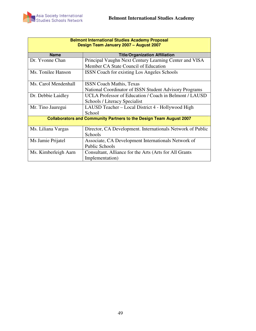

| <b>Belmont International Studies Academy Proposal</b><br>Design Team January 2007 - August 2007 |                                                                            |  |  |  |  |
|-------------------------------------------------------------------------------------------------|----------------------------------------------------------------------------|--|--|--|--|
| <b>Name</b>                                                                                     | <b>Title/Organization Affiliation</b>                                      |  |  |  |  |
| Dr. Yvonne Chan                                                                                 | Principal Vaughn Next Century Learning Center and VISA                     |  |  |  |  |
|                                                                                                 | Member CA State Council of Education                                       |  |  |  |  |
| Ms. Tonilee Hanson                                                                              | <b>ISSN</b> Coach for existing Los Angeles Schools                         |  |  |  |  |
|                                                                                                 |                                                                            |  |  |  |  |
| Ms. Carol Mendenhall                                                                            | <b>ISSN Coach Mathis, Texas</b>                                            |  |  |  |  |
|                                                                                                 | National Coordinator of ISSN Student Advisory Programs                     |  |  |  |  |
| Dr. Debbie Laidley                                                                              | UCLA Professor of Education / Coach in Belmont / LAUSD                     |  |  |  |  |
|                                                                                                 | Schools / Literacy Specialist                                              |  |  |  |  |
| Mr. Tino Jauregui                                                                               | LAUSD Teacher – Local District 4 - Hollywood High                          |  |  |  |  |
|                                                                                                 | School                                                                     |  |  |  |  |
|                                                                                                 | <b>Collaborators and Community Partners to the Design Team August 2007</b> |  |  |  |  |
| Ms. Liliana Vargas                                                                              | Director, CA Development. Internationals Network of Public                 |  |  |  |  |
|                                                                                                 | Schools                                                                    |  |  |  |  |
| Ms Jamie Prijatel                                                                               | Associate, CA Development Internationals Network of                        |  |  |  |  |
|                                                                                                 | <b>Public Schools</b>                                                      |  |  |  |  |
| Ms. Kimberleigh Aarn                                                                            | Consultant, Alliance for the Arts (Arts for All Grants)                    |  |  |  |  |
|                                                                                                 | Implementation)                                                            |  |  |  |  |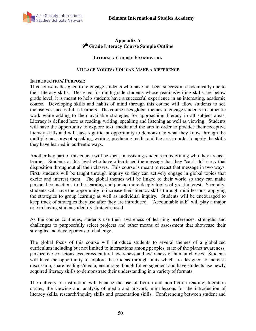

### **Appendix A 9 th Grade Literacy Course Sample Outline**

#### **LITERACY COURSE FRAMEWORK**

#### **VILLAGE VOICES: YOU CAN MAKE A DIFFERENCE**

#### **INTRODUCTION/ PURPOSE:**

This course is designed to re-engage students who have not been successful academically due to their literacy skills. Designed for ninth grade students whose reading/writing skills are below grade level, it is meant to help students have a successful experience in an interesting, academic course. Developing skills and habits of mind through this course will allow students to see themselves successful as learners. The course uses global themes to engage students in authentic work while adding to their available strategies for approaching literacy in all subject areas. Literacy is defined here as reading, writing, speaking and listening as well as viewing. Students will have the opportunity to explore text, media and the arts in order to practice their receptive literacy skills and will have significant opportunity to demonstrate what they know through the multiple measures of speaking, writing, producing media and the arts in order to apply the skills they have learned in authentic ways.

Another key part of this course will be spent in assisting students in redefining who they are as a learner. Students at this level who have often faced the message that they "can't do" carry that disposition throughout all their classes. This course is meant to recast that message in two ways. First, students will be taught through inquiry so they can actively engage in global topics that excite and interest them. The global themes will be linked to their world so they can make personal connections to the learning and pursue more deeply topics of great interest. Secondly, students will have the opportunity to increase their literacy skills through mini-lessons, applying the strategies to group learning as well as individual inquiry. Students will be encouraged to keep track of strategies they use after they are introduced. "Accountable talk" will play a major role in having students identify strategies used.

As the course continues, students use their awareness of learning preferences, strengths and challenges to purposefully select projects and other means of assessment that showcase their strengths and develop areas of challenge.

The global focus of this course will introduce students to several themes of a globalized curriculum including but not limited to interactions among peoples, state of the planet awareness, perspective consciousness, cross cultural awareness and awareness of human choices. Students will have the opportunity to explore these ideas through units which are designed to increase discussion, share readings/media, encourage thoughtful engagement and have students use newly acquired literacy skills to demonstrate their understanding in a variety of formats.

The delivery of instruction will balance the use of fiction and non-fiction reading, literature circles, the viewing and analysis of media and artwork, mini-lessons for the introduction of literacy skills, research/inquiry skills and presentation skills. Conferencing between student and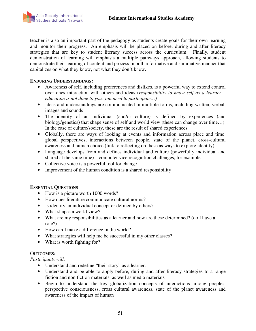

teacher is also an important part of the pedagogy as students create goals for their own learning and monitor their progress. An emphasis will be placed on before, during and after literacy strategies that are key to student literacy success across the curriculum. Finally, student demonstration of learning will emphasis a multiple pathways approach, allowing students to demonstrate their learning of content and process in both a formative and summative manner that capitalizes on what they know, not what they don't know.

#### **ENDURING UNDERSTANDINGS:**

- Awareness of self, including preferences and dislikes, is a powerful way to extend control over ones interaction with others and ideas (*responsibility to know self as a learner education is not done to you, you need to participate…)*
- Ideas and understandings are communicated in multiple forms, including written, verbal, images and sounds
- The identity of an individual (and/or culture) is defined by experiences (and biology/genetics) that shape sense of self and world view (these can change over time…). In the case of culture/society, these are the result of shared experiences
- Globally, there are ways of looking at events and information across place and time: global perspectives, interactions between people, state of the planet, cross-cultural awareness and human choice (link to reflecting on these as ways to explore identity)
- Language develops from and defines individual and culture (powerfully individual and shared at the same time)—computer vice recognition challenges, for example
- Collective voice is a powerful tool for change
- Improvement of the human condition is a shared responsibility

### **ESSENTIAL QUESTIONS**

- How is a picture worth 1000 words?
- How does literature communicate cultural norms?
- Is identity an individual concept or defined by others?
- What shapes a world view?
- What are my responsibilities as a learner and how are these determined? (do I have a role?)
- How can I make a difference in the world?
- What strategies will help me be successful in my other classes?
- What is worth fighting for?

### **OUTCOMES:**

*Participants will:* 

- Understand and redefine "their story" as a learner.
- Understand and be able to apply before, during and after literacy strategies to a range fiction and non fiction materials, as well as media materials
- Begin to understand the key globalization concepts of interactions among peoples, perspective consciousness, cross cultural awareness, state of the planet awareness and awareness of the impact of human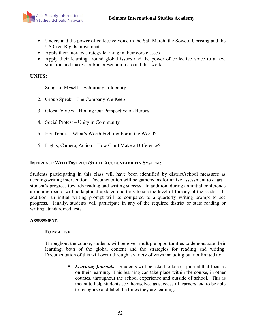- Understand the power of collective voice in the Salt March, the Soweto Uprising and the US Civil Rights movement.
- Apply their literacy strategy learning in their core classes
- Apply their learning around global issues and the power of collective voice to a new situation and make a public presentation around that work

#### **UNITS:**

- 1. Songs of Myself A Journey in Identity
- 2. Group Speak The Company We Keep
- 3. Global Voices Honing Our Perspective on Heroes
- 4. Social Protest Unity in Community
- 5. Hot Topics What's Worth Fighting For in the World?
- 6. Lights, Camera, Action How Can I Make a Difference?

#### **INTERFACE WITH DISTRICT/STATE ACCOUNTABILITY SYSTEM:**

Students participating in this class will have been identified by district/school measures as needing/writing intervention. Documentation will be gathered as formative assessment to chart a student's progress towards reading and writing success. In addition, during an initial conference a running record will be kept and updated quarterly to see the level of fluency of the reader. In addition, an initial writing prompt will be compared to a quarterly writing prompt to see progress. Finally, students will participate in any of the required district or state reading or writing standardized tests.

#### **ASSESSMENT:**

#### **FORMATIVE**

Throughout the course, students will be given multiple opportunities to demonstrate their learning, both of the global content and the strategies for reading and writing. Documentation of this will occur through a variety of ways including but not limited to:

> *Learning Journals* – Students will be asked to keep a journal that focuses on their learning. This learning can take place within the course, in other courses, throughout the school experience and outside of school. This is meant to help students see themselves as successful learners and to be able to recognize and label the times they are learning.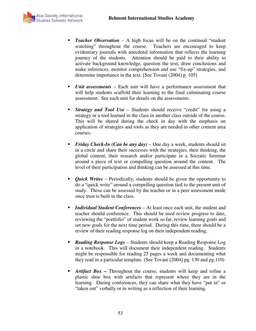

- *Teacher Observation* A high focus will be on the continual "student watching" throughout the course. Teachers are encouraged to keep evidentiary journals with anecdotal information that reflects the learning journey of the students. Attention should be paid to their ability to activate background knowledge, question the text, draw conclusions and make inferences, monitor comprehension and use "fix-up" strategies, and determine importance in the text. [See Tovani (2004) p. 105]
- *Unit assessments* Each unit will have a performance assessment that will help students scaffold their learning to the final culminating course assessment. See each unit for details on the assessments.
- **Strategy and Tool Use** Students should receive "credit" for using a strategy or a tool learned in the class in another class outside of the course. This will be shared during the check in day with the emphasis on application of strategies and tools as they are needed in other content area courses.
- *Friday Check-In (Can be any day)* One day a week, students should sit in a circle and share their successes with the strategies, their thinking, the global content, their research and/or participate in a Socratic Seminar around a piece of text or compelling question around the content. The level of their participation and thinking can be assessed at this time.
- *Quick Writes* Periodically, students should be given the opportunity to do a "quick write" around a compelling question tied to the present unit of study. These can be assessed by the teacher or in a peer assessment mode once trust is built in the class.
- *Individual Student Conferences* At least once each unit, the student and teacher should conference. This should be used review progress to date, reviewing the "portfolio" of student work so far, review learning goals and set new goals for the next time period. During this time, there should be a review of their reading response log on their independent reading.
- *Reading Response Logs* Students should keep a Reading Response Log in a notebook. This will document their independent reading. Students might be responsible for reading 25 pages a week and documenting what they read in a particular template. (See Tovani [2004] pg. 130 and pg.110)
- *Artifact Box* Throughout the course, students will keep and refine a plastic shoe box with artifacts that represent where they are in the learning. During conferences, they can share what they have "put in" or "taken out" verbally or in writing as a reflection of their learning.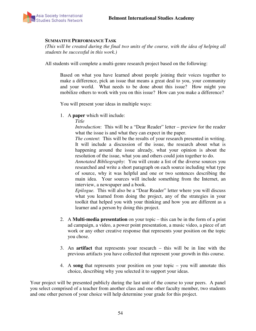

#### **SUMMATIVE PERFORMANCE TASK**

*(This will be created during the final two units of the course, with the idea of helping all students be successful in this work.)* 

All students will complete a multi-genre research project based on the following:

Based on what you have learned about people joining their voices together to make a difference, pick an issue that means a great deal to you, your community and your world. What needs to be done about this issue? How might you mobilize others to work with you on this issue? How can you make a difference?

You will present your ideas in multiple ways:

1. A **paper** which will include:

*Title* 

*Introduction*: This will be a "Dear Reader" letter – preview for the reader what the issue is and what they can expect in the paper.

*The content*: This will be the results of your research presented in writing. It will include a discussion of the issue, the research about what is happening around the issue already, what your opinion is about the resolution of the issue, what you and others could join together to do.

*Annotated Bibliography*: You will create a list of the diverse sources you researched and write a short paragraph on each source including what type of source, why it was helpful and one or two sentences describing the main idea. Your sources will include something from the Internet, an interview, a newspaper and a book.

*Epilogue.* This will also be a "Dear Reader" letter where you will discuss what you learned from doing the project, any of the strategies in your toolkit that helped you with your thinking and how you are different as a learner and a person by doing this project.

- 2. A **Multi-media presentation** on your topic this can be in the form of a print ad campaign, a video, a power point presentation, a music video, a piece of art work or any other creative response that represents your position on the topic you chose.
- 3. An **artifact** that represents your research this will be in line with the previous artifacts you have collected that represent your growth in this course.
- 4. A **song** that represents your position on your topic you will annotate this choice, describing why you selected it to support your ideas.

Your project will be presented publicly during the last unit of the course to your peers. A panel you select comprised of a teacher from another class and one other faculty member, two students and one other person of your choice will help determine your grade for this project.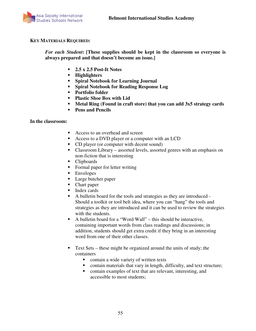

#### **KEY MATERIALS REQUIRED:**

*For each Student***: [These supplies should be kept in the classroom so everyone is always prepared and that doesn't become an issue.]** 

- **2.5 x 2.5 Post-It Notes**
- **Highlighters**
- **Spiral Notebook for Learning Journal**
- **Spiral Notebook for Reading Response Log**
- **Portfolio folder**
- **Plastic Shoe Box with Lid**
- **Metal Ring (Found in craft store) that you can add 3x5 strategy cards**
- **Pens and Pencils**

#### **In the classroom:**

- Access to an overhead and screen
- Access to a DVD player or a computer with an LCD
- CD player (or computer with decent sound)
- Classroom Library assorted levels, assorted genres with an emphasis on non-fiction that is interesting
- Clipboards
- Formal paper for letter writing
- **Envelopes**
- Large butcher paper
- Chart paper
- Index cards
- A bulletin board for the tools and strategies as they are introduced Should a toolkit or tool belt idea, where you can "hang" the tools and strategies as they are introduced and it can be used to review the strategies with the students.
- A bulletin board for a "Word Wall" this should be interactive, containing important words from class readings and discussions; in addition, students should get extra credit if they bring in an interesting word from one of their other classes.
- Text Sets these might be organized around the units of study; the containers
	- contain a wide variety of written texts
	- contain materials that vary in length, difficulty, and text structure;
	- contain examples of text that are relevant, interesting, and accessible to most students;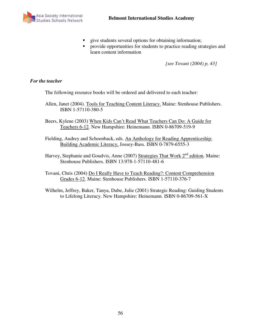

- give students several options for obtaining information;
- **Perovide opportunities for students to practice reading strategies and** learn content information

*[see Tovani (2004) p, 43]* 

#### *For the teacher*

The following resource books will be ordered and delivered to each teacher:

- Allen, Janet (2004). Tools for Teaching Content Literacy. Maine: Stenhouse Publishers. ISBN 1-57110-380-5
- Beers, Kylene (2003) When Kids Can't Read What Teachers Can Do: A Guide for Teachers 6-12. New Hampshire: Heinemann. ISBN 0-86709-519-9
- Fielding, Audrey and Schoenback, eds. An Anthology for Reading Apprenticeship: Building Academic Literacy, Jossey-Bass. ISBN 0-7879-6555-3
- Harvey, Stephanie and Goudvis, Anne (2007) Strategies That Work 2<sup>nd</sup> edition. Maine: Stenhouse Publishers. ISBN 13:978-1-57110-481-6
- Tovani, Chris (2004) Do I Really Have to Teach Reading?: Content Comprehension Grades 6-12. Maine: Stenhouse Publishers. ISBN 1-57110-376-7
- Wilhelm, Jeffrey, Baker, Tanya, Dube, Julie (2001) Strategic Reading: Guiding Students to Lifelong Literacy. New Hampshire: Heinemann. ISBN 0-86709-561-X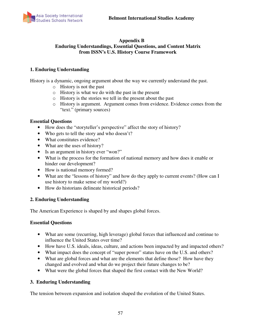

#### **Appendix B Enduring Understandings, Essential Questions, and Content Matrix from ISSN's U.S. History Course Framework**

#### **1. Enduring Understanding**

History is a dynamic, ongoing argument about the way we currently understand the past.

- o History is not the past
- o History is what we do with the past in the present
- o History is the stories we tell in the present about the past
- o History is argument. Argument comes from evidence. Evidence comes from the "text." (primary sources)

#### **Essential Questions**

- How does the "storyteller's perspective" affect the story of history?
- Who gets to tell the story and who doesn't?
- What constitutes evidence?
- What are the uses of history?
- Is an argument in history ever "won?"
- What is the process for the formation of national memory and how does it enable or hinder our development?
- How is national memory formed?
- What are the "lessons of history" and how do they apply to current events? (How can I use history to make sense of my world?)
- How do historians delineate historical periods?

#### **2. Enduring Understanding**

The American Experience is shaped by and shapes global forces.

#### **Essential Questions**

- What are some (recurring, high leverage) global forces that influenced and continue to influence the United States over time?
- How have U.S. ideals, ideas, culture, and actions been impacted by and impacted others?
- What impact does the concept of "super power" status have on the U.S. and others?
- What are global forces and what are the elements that define those? How have they changed and evolved and what do we project their future changes to be?
- What were the global forces that shaped the first contact with the New World?

#### **3. Enduring Understanding**

The tension between expansion and isolation shaped the evolution of the United States.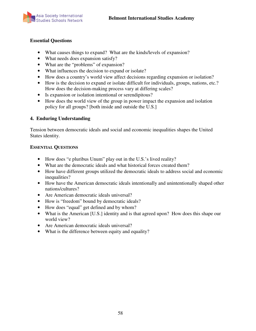

#### **Essential Questions**

- What causes things to expand? What are the kinds/levels of expansion?
- What needs does expansion satisfy?
- What are the "problems" of expansion?
- What influences the decision to expand or isolate?
- How does a country's world view affect decisions regarding expansion or isolation?
- How is the decision to expand or isolate difficult for individuals, groups, nations, etc.? How does the decision-making process vary at differing scales?
- Is expansion or isolation intentional or serendipitous?
- How does the world view of the group in power impact the expansion and isolation policy for all groups? [both inside and outside the U.S.]

# **4. Enduring Understanding**

Tension between democratic ideals and social and economic inequalities shapes the United States identity.

#### **ESSENTIAL QUESTIONS**

- How does "e pluribus Unum" play out in the U.S.'s lived reality?
- What are the democratic ideals and what historical forces created them?
- How have different groups utilized the democratic ideals to address social and economic inequalities?
- How have the American democratic ideals intentionally and unintentionally shaped other nations/cultures?
- Are American democratic ideals universal?
- How is "freedom" bound by democratic ideals?
- How does "equal" get defined and by whom?
- What is the American [U.S.] identity and is that agreed upon? How does this shape our world view?
- Are American democratic ideals universal?
- What is the difference between equity and equality?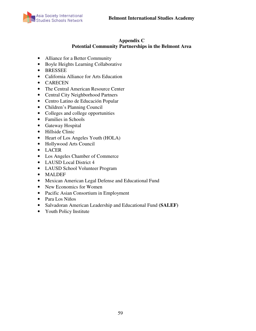

#### **Appendix C Potential Community Partnerships in the Belmont Area**

- Alliance for a Better Community
- Boyle Heights Learning Collaborative
- BRESSEE
- California Alliance for Arts Education
- CARECEN
- The Central American Resource Center
- Central City Neighborhood Partners
- Centro Latino de Educación Popular
- Children's Planning Council
- Colleges and college opportunities
- Families in Schools
- Gateway Hospital
- Hillside Clinic
- Heart of Los Angeles Youth (HOLA)
- Hollywood Arts Council
- LACER
- Los Angeles Chamber of Commerce
- LAUSD Local District 4
- LAUSD School Volunteer Program
- MALDEF
- Mexican American Legal Defense and Educational Fund
- New Economics for Women
- Pacific Asian Consortium in Employment
- Para Los Niños
- Salvadoran American Leadership and Educational Fund **(SALEF)**
- Youth Policy Institute